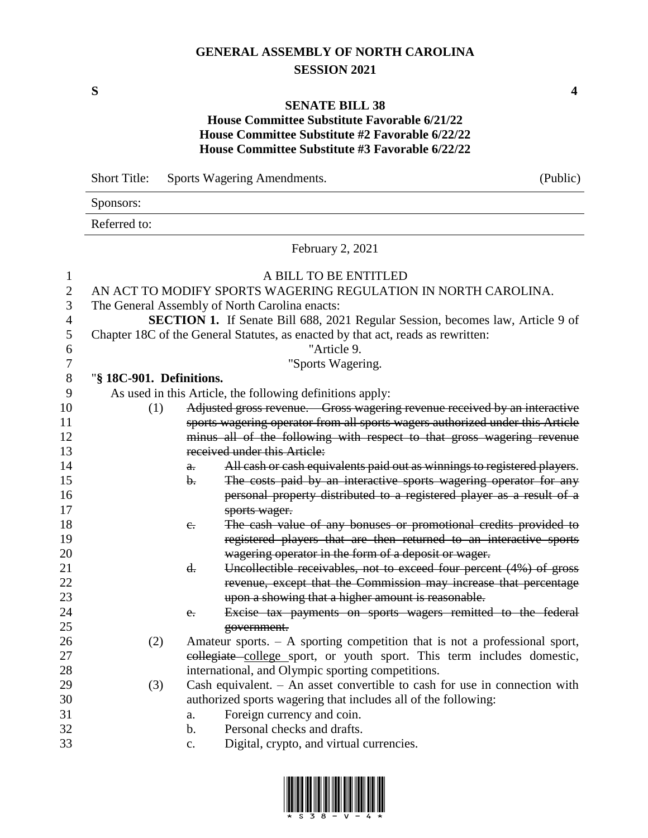# **GENERAL ASSEMBLY OF NORTH CAROLINA SESSION 2021**

**S 4**

### **SENATE BILL 38**

## **House Committee Substitute Favorable 6/21/22 House Committee Substitute #2 Favorable 6/22/22 House Committee Substitute #3 Favorable 6/22/22**

|             | <b>Short Title:</b><br>Sports Wagering Amendments. |                |                                                                                                                                           | (Public)                                                                 |  |  |  |
|-------------|----------------------------------------------------|----------------|-------------------------------------------------------------------------------------------------------------------------------------------|--------------------------------------------------------------------------|--|--|--|
|             | Sponsors:                                          |                |                                                                                                                                           |                                                                          |  |  |  |
|             | Referred to:                                       |                |                                                                                                                                           |                                                                          |  |  |  |
|             |                                                    |                | February 2, 2021                                                                                                                          |                                                                          |  |  |  |
| 1<br>2<br>3 |                                                    |                | A BILL TO BE ENTITLED<br>AN ACT TO MODIFY SPORTS WAGERING REGULATION IN NORTH CAROLINA.<br>The General Assembly of North Carolina enacts: |                                                                          |  |  |  |
| 4           |                                                    |                | SECTION 1. If Senate Bill 688, 2021 Regular Session, becomes law, Article 9 of                                                            |                                                                          |  |  |  |
| 5           |                                                    |                | Chapter 18C of the General Statutes, as enacted by that act, reads as rewritten:                                                          |                                                                          |  |  |  |
| 6           |                                                    |                | "Article 9.                                                                                                                               |                                                                          |  |  |  |
| 7           |                                                    |                | "Sports Wagering.                                                                                                                         |                                                                          |  |  |  |
| 8           | "§ 18C-901. Definitions.                           |                |                                                                                                                                           |                                                                          |  |  |  |
| 9           |                                                    |                | As used in this Article, the following definitions apply:                                                                                 |                                                                          |  |  |  |
| 10          | (1)                                                |                | Adjusted gross revenue. Gross wagering revenue received by an interactive                                                                 |                                                                          |  |  |  |
| 11          |                                                    |                | sports wagering operator from all sports wagers authorized under this Article                                                             |                                                                          |  |  |  |
| 12          |                                                    |                | minus all of the following with respect to that gross wagering revenue                                                                    |                                                                          |  |  |  |
| 13          |                                                    |                | received under this Article:                                                                                                              |                                                                          |  |  |  |
| 14          |                                                    | a.             |                                                                                                                                           | All cash or cash equivalents paid out as winnings to registered players. |  |  |  |
| 15          |                                                    | b.             |                                                                                                                                           | The costs paid by an interactive sports wagering operator for any        |  |  |  |
| 16          |                                                    |                |                                                                                                                                           | personal property distributed to a registered player as a result of a    |  |  |  |
| 17          |                                                    |                | sports wager.                                                                                                                             |                                                                          |  |  |  |
| 18          |                                                    | $e_{\tau}$     |                                                                                                                                           | The cash value of any bonuses or promotional credits provided to         |  |  |  |
| 19          |                                                    |                |                                                                                                                                           | registered players that are then returned to an interactive sports       |  |  |  |
| 20          |                                                    |                | wagering operator in the form of a deposit or wager.                                                                                      |                                                                          |  |  |  |
| 21          |                                                    | $\mathbf{d}$ . |                                                                                                                                           | Uncollectible receivables, not to exceed four percent (4%) of gross      |  |  |  |
| 22<br>23    |                                                    |                | upon a showing that a higher amount is reasonable.                                                                                        | revenue, except that the Commission may increase that percentage         |  |  |  |
| 24          |                                                    | e.             |                                                                                                                                           | Excise tax payments on sports wagers remitted to the federal             |  |  |  |
| 25          |                                                    |                | government.                                                                                                                               |                                                                          |  |  |  |
| 26          | (2)                                                |                | Amateur sports. $-$ A sporting competition that is not a professional sport,                                                              |                                                                          |  |  |  |
| 27          |                                                    |                | eollegiate college sport, or youth sport. This term includes domestic,                                                                    |                                                                          |  |  |  |
| 28          |                                                    |                | international, and Olympic sporting competitions.                                                                                         |                                                                          |  |  |  |
| 29          | (3)                                                |                | Cash equivalent. $-$ An asset convertible to cash for use in connection with                                                              |                                                                          |  |  |  |
| 30          |                                                    |                | authorized sports wagering that includes all of the following:                                                                            |                                                                          |  |  |  |
| 31          |                                                    | a.             | Foreign currency and coin.                                                                                                                |                                                                          |  |  |  |
| 32          |                                                    | b.             | Personal checks and drafts.                                                                                                               |                                                                          |  |  |  |
| 33          |                                                    | $\mathbf{c}$ . | Digital, crypto, and virtual currencies.                                                                                                  |                                                                          |  |  |  |

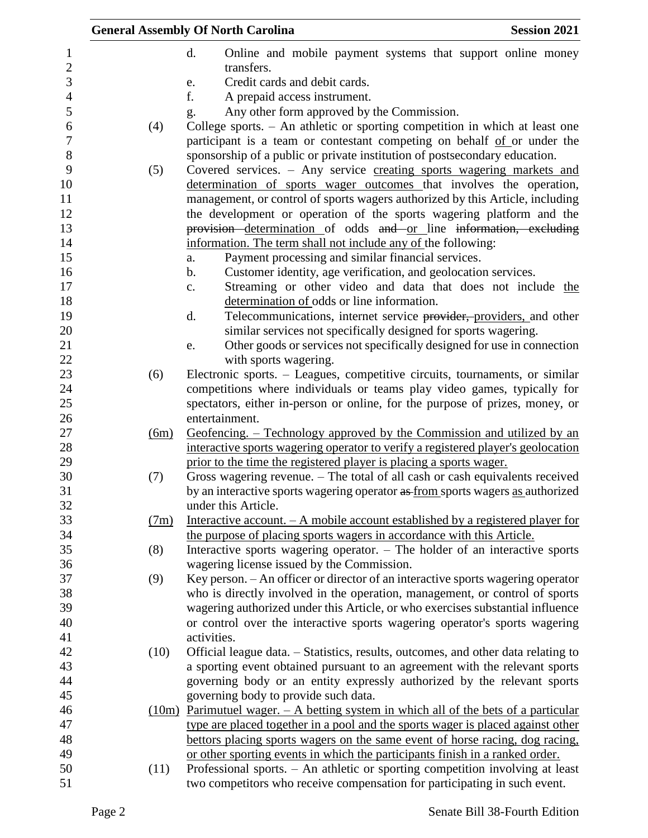|                  |      | <b>General Assembly Of North Carolina</b>                                                                                                                    | <b>Session 2021</b> |
|------------------|------|--------------------------------------------------------------------------------------------------------------------------------------------------------------|---------------------|
| $\mathbf{1}$     |      | d.<br>Online and mobile payment systems that support online money                                                                                            |                     |
| $\mathbf{2}$     |      | transfers.                                                                                                                                                   |                     |
| 3                |      | Credit cards and debit cards.<br>e.                                                                                                                          |                     |
| $\overline{4}$   |      | f.<br>A prepaid access instrument.                                                                                                                           |                     |
| $\mathfrak s$    |      | Any other form approved by the Commission.<br>g.                                                                                                             |                     |
| 6                | (4)  | College sports. - An athletic or sporting competition in which at least one                                                                                  |                     |
| $\boldsymbol{7}$ |      | participant is a team or contestant competing on behalf of or under the                                                                                      |                     |
| $8\,$            |      | sponsorship of a public or private institution of postsecondary education.                                                                                   |                     |
| 9                | (5)  | Covered services. – Any service creating sports wagering markets and                                                                                         |                     |
| 10               |      | determination of sports wager outcomes that involves the operation,                                                                                          |                     |
| 11               |      | management, or control of sports wagers authorized by this Article, including                                                                                |                     |
| 12               |      | the development or operation of the sports wagering platform and the                                                                                         |                     |
| 13               |      | provision determination of odds and or line information, excluding                                                                                           |                     |
| 14               |      | information. The term shall not include any of the following:                                                                                                |                     |
| 15               |      | Payment processing and similar financial services.<br>a.                                                                                                     |                     |
| 16<br>17         |      | Customer identity, age verification, and geolocation services.<br>b.                                                                                         |                     |
| 18               |      | Streaming or other video and data that does not include the<br>c.<br>determination of odds or line information.                                              |                     |
| 19               |      | Telecommunications, internet service providers, providers, and other<br>d.                                                                                   |                     |
| 20               |      | similar services not specifically designed for sports wagering.                                                                                              |                     |
| 21               |      | Other goods or services not specifically designed for use in connection<br>e.                                                                                |                     |
| 22               |      | with sports wagering.                                                                                                                                        |                     |
| 23               | (6)  | Electronic sports. – Leagues, competitive circuits, tournaments, or similar                                                                                  |                     |
| 24               |      | competitions where individuals or teams play video games, typically for                                                                                      |                     |
| 25               |      | spectators, either in-person or online, for the purpose of prizes, money, or                                                                                 |                     |
| 26               |      | entertainment.                                                                                                                                               |                     |
| 27               | (6m) | Geofencing. – Technology approved by the Commission and utilized by an                                                                                       |                     |
| 28               |      | interactive sports wagering operator to verify a registered player's geolocation                                                                             |                     |
| 29               |      | prior to the time the registered player is placing a sports wager.                                                                                           |                     |
| 30               | (7)  | Gross wagering revenue. - The total of all cash or cash equivalents received                                                                                 |                     |
| 31               |      | by an interactive sports wagering operator as from sports wagers as authorized                                                                               |                     |
| 32               |      | under this Article.                                                                                                                                          |                     |
| 33               | (7m) | Interactive account. $-A$ mobile account established by a registered player for                                                                              |                     |
| 34               |      | the purpose of placing sports wagers in accordance with this Article.                                                                                        |                     |
| 35               | (8)  | Interactive sports wagering operator. - The holder of an interactive sports                                                                                  |                     |
| 36               |      | wagering license issued by the Commission.                                                                                                                   |                     |
| 37<br>38         | (9)  | Key person. - An officer or director of an interactive sports wagering operator                                                                              |                     |
| 39               |      | who is directly involved in the operation, management, or control of sports                                                                                  |                     |
| 40               |      | wagering authorized under this Article, or who exercises substantial influence<br>or control over the interactive sports wagering operator's sports wagering |                     |
| 41               |      | activities.                                                                                                                                                  |                     |
| 42               | (10) | Official league data. - Statistics, results, outcomes, and other data relating to                                                                            |                     |
| 43               |      | a sporting event obtained pursuant to an agreement with the relevant sports                                                                                  |                     |
| 44               |      | governing body or an entity expressly authorized by the relevant sports                                                                                      |                     |
| 45               |      | governing body to provide such data.                                                                                                                         |                     |
| 46               |      | $(10m)$ Parimutuel wager. $-$ A betting system in which all of the bets of a particular                                                                      |                     |
| 47               |      | type are placed together in a pool and the sports wager is placed against other                                                                              |                     |
| 48               |      | bettors placing sports wagers on the same event of horse racing, dog racing,                                                                                 |                     |
| 49               |      | or other sporting events in which the participants finish in a ranked order.                                                                                 |                     |
| 50               | (11) | Professional sports. - An athletic or sporting competition involving at least                                                                                |                     |
| 51               |      | two competitors who receive compensation for participating in such event.                                                                                    |                     |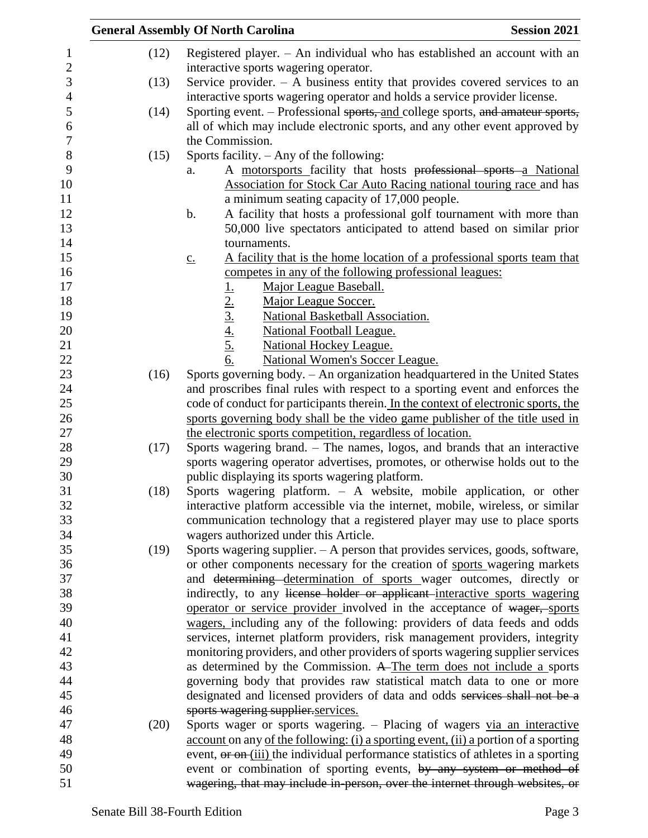|      | <b>General Assembly Of North Carolina</b><br><b>Session 2021</b>                                            |
|------|-------------------------------------------------------------------------------------------------------------|
| (12) | Registered player. $-$ An individual who has established an account with an                                 |
|      | interactive sports wagering operator.                                                                       |
| (13) | Service provider. $-$ A business entity that provides covered services to an                                |
|      | interactive sports wagering operator and holds a service provider license.                                  |
| (14) | Sporting event. – Professional sports, and college sports, and amateur sports,                              |
|      | all of which may include electronic sports, and any other event approved by                                 |
|      | the Commission.                                                                                             |
| (15) | Sports facility. - Any of the following:                                                                    |
|      | A motorsports facility that hosts professional sports a National<br>a.                                      |
|      | Association for Stock Car Auto Racing national touring race and has                                         |
|      | a minimum seating capacity of 17,000 people.                                                                |
|      | A facility that hosts a professional golf tournament with more than<br>b.                                   |
|      | 50,000 live spectators anticipated to attend based on similar prior                                         |
|      | tournaments.                                                                                                |
|      | A facility that is the home location of a professional sports team that<br>$\underline{C}$ .                |
|      | competes in any of the following professional leagues:                                                      |
|      | Major League Baseball.                                                                                      |
|      | Major League Soccer.                                                                                        |
|      | National Basketball Association.                                                                            |
|      | <b>National Football League.</b>                                                                            |
|      | <b>National Hockey League.</b>                                                                              |
|      | $\frac{1}{2}$ .<br>$\frac{2}{3}$ .<br>$\frac{4}{4}$ .<br>$\frac{5}{6}$ .<br>National Women's Soccer League. |
| (16) | Sports governing body. - An organization headquartered in the United States                                 |
|      | and proscribes final rules with respect to a sporting event and enforces the                                |
|      | code of conduct for participants therein. In the context of electronic sports, the                          |
|      | sports governing body shall be the video game publisher of the title used in                                |
|      | the electronic sports competition, regardless of location.                                                  |
| (17) | Sports wagering brand. - The names, logos, and brands that an interactive                                   |
|      | sports wagering operator advertises, promotes, or otherwise holds out to the                                |
|      | public displaying its sports wagering platform.                                                             |
| (18) | Sports wagering platform. - A website, mobile application, or other                                         |
|      | interactive platform accessible via the internet, mobile, wireless, or similar                              |
|      | communication technology that a registered player may use to place sports                                   |
|      | wagers authorized under this Article.                                                                       |
| (19) | Sports wagering supplier. - A person that provides services, goods, software,                               |
|      | or other components necessary for the creation of sports wagering markets                                   |
|      | and determining determination of sports wager outcomes, directly or                                         |
|      | indirectly, to any license holder or applicant interactive sports wagering                                  |
|      | operator or service provider involved in the acceptance of wager, sports                                    |
|      | wagers, including any of the following: providers of data feeds and odds                                    |
|      | services, internet platform providers, risk management providers, integrity                                 |
|      | monitoring providers, and other providers of sports wagering supplier services                              |
|      | as determined by the Commission. A The term does not include a sports                                       |
|      | governing body that provides raw statistical match data to one or more                                      |
|      | designated and licensed providers of data and odds services shall not be a                                  |
|      | sports wagering supplier.services.                                                                          |
| (20) | Sports wager or sports wagering. - Placing of wagers via an interactive                                     |
|      | account on any of the following: (i) a sporting event, (ii) a portion of a sporting                         |
|      | event, or on (iii) the individual performance statistics of athletes in a sporting                          |
|      | event or combination of sporting events, by any system or method of                                         |
|      | wagering, that may include in-person, over the internet through websites, or                                |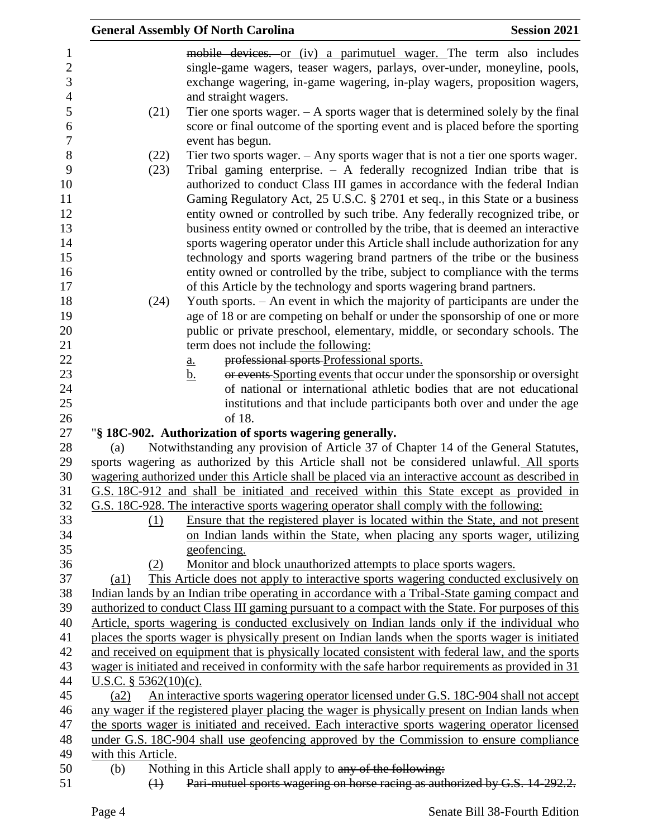|                         | <b>General Assembly Of North Carolina</b>                                                             | <b>Session 2021</b> |
|-------------------------|-------------------------------------------------------------------------------------------------------|---------------------|
|                         | mobile devices. or (iv) a parimutuel wager. The term also includes                                    |                     |
|                         | single-game wagers, teaser wagers, parlays, over-under, moneyline, pools,                             |                     |
|                         | exchange wagering, in-game wagering, in-play wagers, proposition wagers,                              |                     |
|                         | and straight wagers.                                                                                  |                     |
| (21)                    | Tier one sports wager. $- A$ sports wager that is determined solely by the final                      |                     |
|                         | score or final outcome of the sporting event and is placed before the sporting                        |                     |
|                         | event has begun.                                                                                      |                     |
| (22)                    | Tier two sports wager. $-$ Any sports wager that is not a tier one sports wager.                      |                     |
| (23)                    | Tribal gaming enterprise. $-$ A federally recognized Indian tribe that is                             |                     |
|                         | authorized to conduct Class III games in accordance with the federal Indian                           |                     |
|                         | Gaming Regulatory Act, 25 U.S.C. § 2701 et seq., in this State or a business                          |                     |
|                         | entity owned or controlled by such tribe. Any federally recognized tribe, or                          |                     |
|                         | business entity owned or controlled by the tribe, that is deemed an interactive                       |                     |
|                         | sports wagering operator under this Article shall include authorization for any                       |                     |
|                         | technology and sports wagering brand partners of the tribe or the business                            |                     |
|                         | entity owned or controlled by the tribe, subject to compliance with the terms                         |                     |
|                         | of this Article by the technology and sports wagering brand partners.                                 |                     |
| (24)                    | Youth sports. - An event in which the majority of participants are under the                          |                     |
|                         | age of 18 or are competing on behalf or under the sponsorship of one or more                          |                     |
|                         | public or private preschool, elementary, middle, or secondary schools. The                            |                     |
|                         | term does not include the following:                                                                  |                     |
|                         | professional sports Professional sports.                                                              |                     |
|                         | <u>a.</u><br>or events Sporting events that occur under the sponsorship or oversight<br>$\mathbf b$ . |                     |
|                         | of national or international athletic bodies that are not educational                                 |                     |
|                         | institutions and that include participants both over and under the age                                |                     |
|                         | of 18.                                                                                                |                     |
|                         | "§ 18C-902. Authorization of sports wagering generally.                                               |                     |
| (a)                     | Notwithstanding any provision of Article 37 of Chapter 14 of the General Statutes,                    |                     |
|                         | sports wagering as authorized by this Article shall not be considered unlawful. All sports            |                     |
|                         | wagering authorized under this Article shall be placed via an interactive account as described in     |                     |
|                         | G.S. 18C-912 and shall be initiated and received within this State except as provided in              |                     |
|                         | G.S. 18C-928. The interactive sports wagering operator shall comply with the following:               |                     |
| (1)                     | Ensure that the registered player is located within the State, and not present                        |                     |
|                         | on Indian lands within the State, when placing any sports wager, utilizing                            |                     |
|                         | geofencing.                                                                                           |                     |
| (2)                     | Monitor and block unauthorized attempts to place sports wagers.                                       |                     |
| (a1)                    | This Article does not apply to interactive sports wagering conducted exclusively on                   |                     |
|                         | Indian lands by an Indian tribe operating in accordance with a Tribal-State gaming compact and        |                     |
|                         | authorized to conduct Class III gaming pursuant to a compact with the State. For purposes of this     |                     |
|                         | Article, sports wagering is conducted exclusively on Indian lands only if the individual who          |                     |
|                         | places the sports wager is physically present on Indian lands when the sports wager is initiated      |                     |
|                         | and received on equipment that is physically located consistent with federal law, and the sports      |                     |
|                         | wager is initiated and received in conformity with the safe harbor requirements as provided in 31     |                     |
| U.S.C. $§$ 5362(10)(c). |                                                                                                       |                     |
| (a2)                    | An interactive sports wagering operator licensed under G.S. 18C-904 shall not accept                  |                     |
|                         | any wager if the registered player placing the wager is physically present on Indian lands when       |                     |
|                         | the sports wager is initiated and received. Each interactive sports wagering operator licensed        |                     |
|                         | under G.S. 18C-904 shall use geofencing approved by the Commission to ensure compliance               |                     |
| with this Article.      |                                                                                                       |                     |
| (b)                     | Nothing in this Article shall apply to any of the following:                                          |                     |
| $\leftrightarrow$       | Pari-mutuel sports wagering on horse racing as authorized by G.S. 14-292.2.                           |                     |
|                         |                                                                                                       |                     |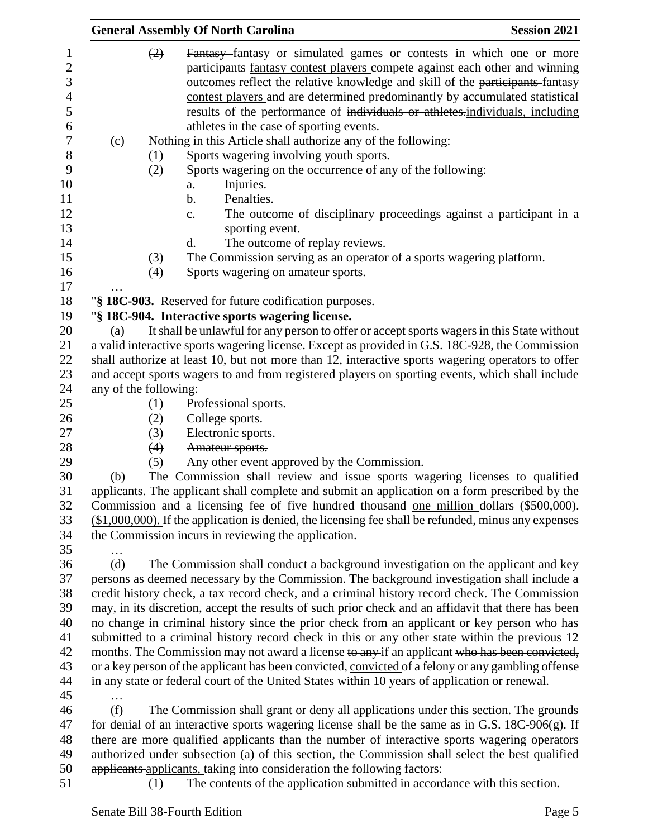|     | <b>General Assembly Of North Carolina</b>                                                                                                                                                                                                                                                                                                                                                                                                             | <b>Session 2021</b> |
|-----|-------------------------------------------------------------------------------------------------------------------------------------------------------------------------------------------------------------------------------------------------------------------------------------------------------------------------------------------------------------------------------------------------------------------------------------------------------|---------------------|
|     | (2)<br>Fantasy-fantasy or simulated games or contests in which one or more<br>participants fantasy contest players compete against each other and winning<br>outcomes reflect the relative knowledge and skill of the participants-fantasy<br>contest players and are determined predominantly by accumulated statistical<br>results of the performance of individuals or athletes-individuals, including<br>athletes in the case of sporting events. |                     |
| (c) | Nothing in this Article shall authorize any of the following:<br>(1)<br>Sports wagering involving youth sports.                                                                                                                                                                                                                                                                                                                                       |                     |
|     | Sports wagering on the occurrence of any of the following:<br>(2)                                                                                                                                                                                                                                                                                                                                                                                     |                     |
|     | Injuries.<br>a.                                                                                                                                                                                                                                                                                                                                                                                                                                       |                     |
|     | Penalties.<br>b.                                                                                                                                                                                                                                                                                                                                                                                                                                      |                     |
|     | The outcome of disciplinary proceedings against a participant in a<br>c.                                                                                                                                                                                                                                                                                                                                                                              |                     |
|     | sporting event.                                                                                                                                                                                                                                                                                                                                                                                                                                       |                     |
|     | d.<br>The outcome of replay reviews.                                                                                                                                                                                                                                                                                                                                                                                                                  |                     |
|     | The Commission serving as an operator of a sports wagering platform.<br>(3)                                                                                                                                                                                                                                                                                                                                                                           |                     |
|     | Sports wagering on amateur sports.<br>(4)                                                                                                                                                                                                                                                                                                                                                                                                             |                     |
|     |                                                                                                                                                                                                                                                                                                                                                                                                                                                       |                     |
|     | "§ 18C-903. Reserved for future codification purposes.<br>"§ 18C-904. Interactive sports wagering license.                                                                                                                                                                                                                                                                                                                                            |                     |
| (a) | It shall be unlawful for any person to offer or accept sports wagers in this State without                                                                                                                                                                                                                                                                                                                                                            |                     |
|     | a valid interactive sports wagering license. Except as provided in G.S. 18C-928, the Commission                                                                                                                                                                                                                                                                                                                                                       |                     |
|     | shall authorize at least 10, but not more than 12, interactive sports wagering operators to offer                                                                                                                                                                                                                                                                                                                                                     |                     |
|     | and accept sports wagers to and from registered players on sporting events, which shall include                                                                                                                                                                                                                                                                                                                                                       |                     |
|     | any of the following:                                                                                                                                                                                                                                                                                                                                                                                                                                 |                     |
|     | (1)<br>Professional sports.                                                                                                                                                                                                                                                                                                                                                                                                                           |                     |
|     | College sports.<br>(2)                                                                                                                                                                                                                                                                                                                                                                                                                                |                     |
|     | Electronic sports.<br>(3)                                                                                                                                                                                                                                                                                                                                                                                                                             |                     |
|     | Amateur sports.<br>(4)                                                                                                                                                                                                                                                                                                                                                                                                                                |                     |
|     | Any other event approved by the Commission.<br>(5)                                                                                                                                                                                                                                                                                                                                                                                                    |                     |
| (b) | The Commission shall review and issue sports wagering licenses to qualified                                                                                                                                                                                                                                                                                                                                                                           |                     |
|     | applicants. The applicant shall complete and submit an application on a form prescribed by the                                                                                                                                                                                                                                                                                                                                                        |                     |
|     | Commission and a licensing fee of five hundred thousand one million dollars (\$500,000).                                                                                                                                                                                                                                                                                                                                                              |                     |
|     | $($1,000,000)$ . If the application is denied, the licensing fee shall be refunded, minus any expenses                                                                                                                                                                                                                                                                                                                                                |                     |
|     | the Commission incurs in reviewing the application.                                                                                                                                                                                                                                                                                                                                                                                                   |                     |
|     |                                                                                                                                                                                                                                                                                                                                                                                                                                                       |                     |
| (d) | The Commission shall conduct a background investigation on the applicant and key                                                                                                                                                                                                                                                                                                                                                                      |                     |
|     | persons as deemed necessary by the Commission. The background investigation shall include a                                                                                                                                                                                                                                                                                                                                                           |                     |
|     | credit history check, a tax record check, and a criminal history record check. The Commission                                                                                                                                                                                                                                                                                                                                                         |                     |
|     | may, in its discretion, accept the results of such prior check and an affidavit that there has been                                                                                                                                                                                                                                                                                                                                                   |                     |
|     | no change in criminal history since the prior check from an applicant or key person who has                                                                                                                                                                                                                                                                                                                                                           |                     |
|     | submitted to a criminal history record check in this or any other state within the previous 12                                                                                                                                                                                                                                                                                                                                                        |                     |
|     | months. The Commission may not award a license to any if an applicant who has been convicted,                                                                                                                                                                                                                                                                                                                                                         |                     |
|     | or a key person of the applicant has been convicted, convicted of a felony or any gambling offense                                                                                                                                                                                                                                                                                                                                                    |                     |
|     | in any state or federal court of the United States within 10 years of application or renewal.                                                                                                                                                                                                                                                                                                                                                         |                     |
| (f) | The Commission shall grant or deny all applications under this section. The grounds                                                                                                                                                                                                                                                                                                                                                                   |                     |
|     | for denial of an interactive sports wagering license shall be the same as in G.S. $18C-906(g)$ . If                                                                                                                                                                                                                                                                                                                                                   |                     |
|     | there are more qualified applicants than the number of interactive sports wagering operators                                                                                                                                                                                                                                                                                                                                                          |                     |
|     | authorized under subsection (a) of this section, the Commission shall select the best qualified                                                                                                                                                                                                                                                                                                                                                       |                     |
|     | applicants applicants, taking into consideration the following factors:                                                                                                                                                                                                                                                                                                                                                                               |                     |
|     | The contents of the application submitted in accordance with this section.<br>(1)                                                                                                                                                                                                                                                                                                                                                                     |                     |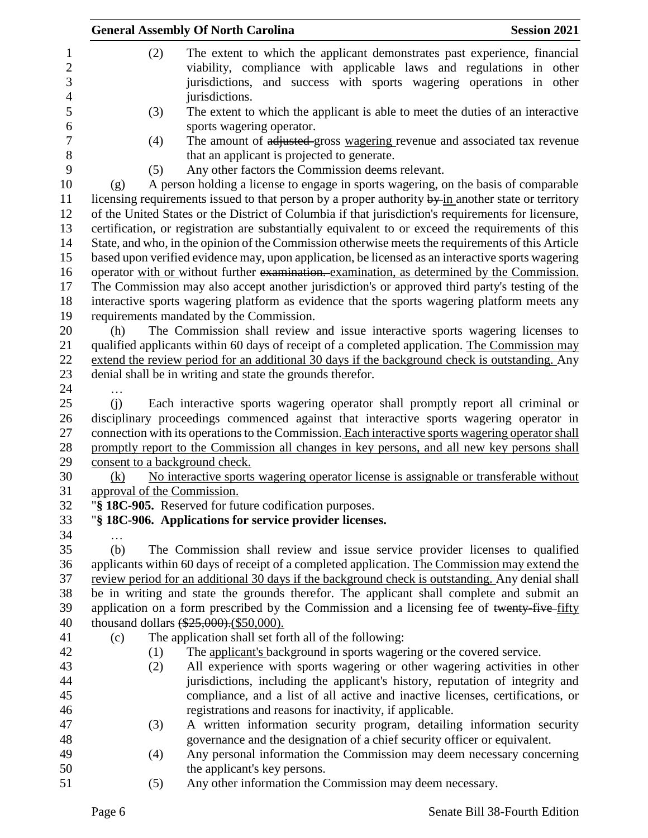|                                | <b>General Assembly Of North Carolina</b>                                                           | <b>Session 2021</b> |
|--------------------------------|-----------------------------------------------------------------------------------------------------|---------------------|
| (2)                            | The extent to which the applicant demonstrates past experience, financial                           |                     |
|                                | viability, compliance with applicable laws and regulations in other                                 |                     |
|                                | jurisdictions, and success with sports wagering operations in other                                 |                     |
|                                | jurisdictions.                                                                                      |                     |
| (3)                            | The extent to which the applicant is able to meet the duties of an interactive                      |                     |
|                                | sports wagering operator.                                                                           |                     |
| (4)                            | The amount of adjusted gross wagering revenue and associated tax revenue                            |                     |
|                                | that an applicant is projected to generate.                                                         |                     |
| (5)                            | Any other factors the Commission deems relevant.                                                    |                     |
| (g)                            | A person holding a license to engage in sports wagering, on the basis of comparable                 |                     |
|                                | licensing requirements issued to that person by a proper authority by in another state or territory |                     |
|                                | of the United States or the District of Columbia if that jurisdiction's requirements for licensure, |                     |
|                                | certification, or registration are substantially equivalent to or exceed the requirements of this   |                     |
|                                | State, and who, in the opinion of the Commission otherwise meets the requirements of this Article   |                     |
|                                | based upon verified evidence may, upon application, be licensed as an interactive sports wagering   |                     |
|                                | operator with or without further examination. examination, as determined by the Commission.         |                     |
|                                | The Commission may also accept another jurisdiction's or approved third party's testing of the      |                     |
|                                | interactive sports wagering platform as evidence that the sports wagering platform meets any        |                     |
|                                | requirements mandated by the Commission.                                                            |                     |
| (h)                            | The Commission shall review and issue interactive sports wagering licenses to                       |                     |
|                                | qualified applicants within 60 days of receipt of a completed application. The Commission may       |                     |
|                                | extend the review period for an additional 30 days if the background check is outstanding. Any      |                     |
|                                | denial shall be in writing and state the grounds therefor.                                          |                     |
| .                              |                                                                                                     |                     |
| (i)                            | Each interactive sports wagering operator shall promptly report all criminal or                     |                     |
|                                | disciplinary proceedings commenced against that interactive sports wagering operator in             |                     |
|                                | connection with its operations to the Commission. Each interactive sports wagering operator shall   |                     |
|                                | promptly report to the Commission all changes in key persons, and all new key persons shall         |                     |
| consent to a background check. |                                                                                                     |                     |
| (k)                            | No interactive sports wagering operator license is assignable or transferable without               |                     |
| approval of the Commission.    |                                                                                                     |                     |
|                                | "§ 18C-905. Reserved for future codification purposes.                                              |                     |
|                                | "§ 18C-906. Applications for service provider licenses.                                             |                     |
| .                              |                                                                                                     |                     |
| (b)                            | The Commission shall review and issue service provider licenses to qualified                        |                     |
|                                | applicants within 60 days of receipt of a completed application. The Commission may extend the      |                     |
|                                | review period for an additional 30 days if the background check is outstanding. Any denial shall    |                     |
|                                | be in writing and state the grounds therefor. The applicant shall complete and submit an            |                     |
|                                | application on a form prescribed by the Commission and a licensing fee of twenty-five-fifty         |                     |
|                                | thousand dollars $(*25,000)$ . $(*50,000)$ .                                                        |                     |
| (c)                            | The application shall set forth all of the following:                                               |                     |
| (1)                            | The applicant's background in sports wagering or the covered service.                               |                     |
| (2)                            | All experience with sports wagering or other wagering activities in other                           |                     |
|                                | jurisdictions, including the applicant's history, reputation of integrity and                       |                     |
|                                | compliance, and a list of all active and inactive licenses, certifications, or                      |                     |
|                                | registrations and reasons for inactivity, if applicable.                                            |                     |
| (3)                            | A written information security program, detailing information security                              |                     |
|                                | governance and the designation of a chief security officer or equivalent.                           |                     |
| (4)                            | Any personal information the Commission may deem necessary concerning                               |                     |
|                                |                                                                                                     |                     |
|                                | the applicant's key persons.<br>Any other information the Commission may deem necessary.            |                     |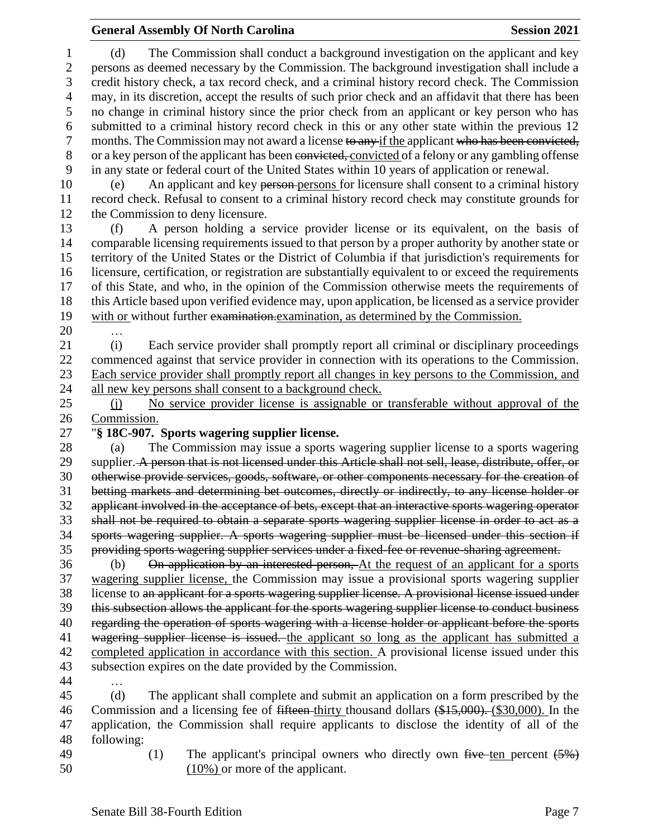#### **General Assembly Of North Carolina Session 2021**

 (d) The Commission shall conduct a background investigation on the applicant and key persons as deemed necessary by the Commission. The background investigation shall include a credit history check, a tax record check, and a criminal history record check. The Commission may, in its discretion, accept the results of such prior check and an affidavit that there has been no change in criminal history since the prior check from an applicant or key person who has submitted to a criminal history record check in this or any other state within the previous 12 7 months. The Commission may not award a license to any if the applicant who has been convicted, or a key person of the applicant has been convicted, convicted of a felony or any gambling offense in any state or federal court of the United States within 10 years of application or renewal. (e) An applicant and key person persons for licensure shall consent to a criminal history record check. Refusal to consent to a criminal history record check may constitute grounds for the Commission to deny licensure. (f) A person holding a service provider license or its equivalent, on the basis of comparable licensing requirements issued to that person by a proper authority by another state or territory of the United States or the District of Columbia if that jurisdiction's requirements for licensure, certification, or registration are substantially equivalent to or exceed the requirements of this State, and who, in the opinion of the Commission otherwise meets the requirements of this Article based upon verified evidence may, upon application, be licensed as a service provider with or without further examination.examination, as determined by the Commission. … (i) Each service provider shall promptly report all criminal or disciplinary proceedings commenced against that service provider in connection with its operations to the Commission. Each service provider shall promptly report all changes in key persons to the Commission, and all new key persons shall consent to a background check. (j) No service provider license is assignable or transferable without approval of the Commission. "**§ 18C-907. Sports wagering supplier license.** (a) The Commission may issue a sports wagering supplier license to a sports wagering 29 supplier. A person that is not licensed under this Article shall not sell, lease, distribute, offer, or otherwise provide services, goods, software, or other components necessary for the creation of betting markets and determining bet outcomes, directly or indirectly, to any license holder or applicant involved in the acceptance of bets, except that an interactive sports wagering operator shall not be required to obtain a separate sports wagering supplier license in order to act as a sports wagering supplier. A sports wagering supplier must be licensed under this section if providing sports wagering supplier services under a fixed-fee or revenue-sharing agreement. (b) On application by an interested person, At the request of an applicant for a sports wagering supplier license, the Commission may issue a provisional sports wagering supplier license to an applicant for a sports wagering supplier license. A provisional license issued under this subsection allows the applicant for the sports wagering supplier license to conduct business 40 regarding the operation of sports wagering with a license holder or applicant before the sports 41 wagering supplier license is issued. the applicant so long as the applicant has submitted a completed application in accordance with this section. A provisional license issued under this subsection expires on the date provided by the Commission. … (d) The applicant shall complete and submit an application on a form prescribed by the 46 Commission and a licensing fee of <del>fifteen</del>-thirty thousand dollars (\$15,000). (\$30,000). In the application, the Commission shall require applicants to disclose the identity of all of the following: 49 (1) The applicant's principal owners who directly own five ten percent  $(5%)$ (10%) or more of the applicant.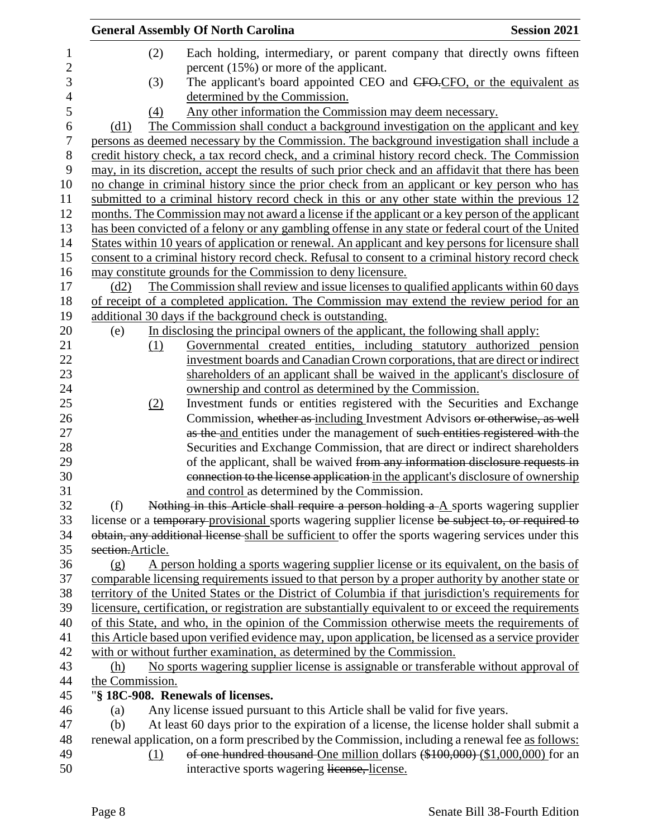|                  | <b>General Assembly Of North Carolina</b>                                                                                                                                                       | <b>Session 2021</b> |
|------------------|-------------------------------------------------------------------------------------------------------------------------------------------------------------------------------------------------|---------------------|
| 1                | (2)<br>Each holding, intermediary, or parent company that directly owns fifteen                                                                                                                 |                     |
| $\mathbf{2}$     | percent $(15\%)$ or more of the applicant.                                                                                                                                                      |                     |
| 3                | The applicant's board appointed CEO and CFO-CFO, or the equivalent as<br>(3)                                                                                                                    |                     |
| 4                | determined by the Commission.                                                                                                                                                                   |                     |
| 5                | Any other information the Commission may deem necessary.<br>(4)                                                                                                                                 |                     |
| 6                | The Commission shall conduct a background investigation on the applicant and key<br>(d1)                                                                                                        |                     |
| $\boldsymbol{7}$ | persons as deemed necessary by the Commission. The background investigation shall include a                                                                                                     |                     |
| 8                | credit history check, a tax record check, and a criminal history record check. The Commission                                                                                                   |                     |
| 9                | may, in its discretion, accept the results of such prior check and an affidavit that there has been                                                                                             |                     |
| 10               | no change in criminal history since the prior check from an applicant or key person who has                                                                                                     |                     |
| 11               | submitted to a criminal history record check in this or any other state within the previous 12                                                                                                  |                     |
| 12               | months. The Commission may not award a license if the applicant or a key person of the applicant                                                                                                |                     |
| 13               | has been convicted of a felony or any gambling offense in any state or federal court of the United                                                                                              |                     |
| 14               | States within 10 years of application or renewal. An applicant and key persons for licensure shall                                                                                              |                     |
| 15               | consent to a criminal history record check. Refusal to consent to a criminal history record check                                                                                               |                     |
| 16               | may constitute grounds for the Commission to deny licensure.                                                                                                                                    |                     |
| 17               | The Commission shall review and issue licenses to qualified applicants within 60 days<br>(d2)                                                                                                   |                     |
| 18               | of receipt of a completed application. The Commission may extend the review period for an                                                                                                       |                     |
| 19               | additional 30 days if the background check is outstanding.                                                                                                                                      |                     |
| 20               | In disclosing the principal owners of the applicant, the following shall apply:<br>(e)                                                                                                          |                     |
| 21               | Governmental created entities, including statutory authorized pension<br>(1)                                                                                                                    |                     |
| 22               | investment boards and Canadian Crown corporations, that are direct or indirect                                                                                                                  |                     |
| 23               | shareholders of an applicant shall be waived in the applicant's disclosure of                                                                                                                   |                     |
| 24               | ownership and control as determined by the Commission.                                                                                                                                          |                     |
| 25               | Investment funds or entities registered with the Securities and Exchange<br>(2)                                                                                                                 |                     |
| 26               | Commission, whether as including Investment Advisors or otherwise, as well                                                                                                                      |                     |
| 27               | as the and entities under the management of such entities registered with the                                                                                                                   |                     |
| 28               | Securities and Exchange Commission, that are direct or indirect shareholders                                                                                                                    |                     |
| 29               | of the applicant, shall be waived from any information disclosure requests in                                                                                                                   |                     |
| 30               | connection to the license application in the applicant's disclosure of ownership                                                                                                                |                     |
| 31<br>32         | and control as determined by the Commission.                                                                                                                                                    |                     |
| 33               | Nothing in this Article shall require a person holding a A sports wagering supplier<br>(f)<br>license or a temporary provisional sports wagering supplier license be subject to, or required to |                     |
| 34               | obtain, any additional license shall be sufficient to offer the sports wagering services under this                                                                                             |                     |
| 35               | section.Article.                                                                                                                                                                                |                     |
| 36               | A person holding a sports wagering supplier license or its equivalent, on the basis of<br>(g)                                                                                                   |                     |
| 37               | comparable licensing requirements issued to that person by a proper authority by another state or                                                                                               |                     |
| 38               | territory of the United States or the District of Columbia if that jurisdiction's requirements for                                                                                              |                     |
| 39               | licensure, certification, or registration are substantially equivalent to or exceed the requirements                                                                                            |                     |
| 40               | of this State, and who, in the opinion of the Commission otherwise meets the requirements of                                                                                                    |                     |
| 41               | this Article based upon verified evidence may, upon application, be licensed as a service provider                                                                                              |                     |
| 42               | with or without further examination, as determined by the Commission.                                                                                                                           |                     |
| 43               | No sports wagering supplier license is assignable or transferable without approval of<br>(h)                                                                                                    |                     |
| 44               | the Commission.                                                                                                                                                                                 |                     |
| 45               | "§ 18C-908. Renewals of licenses.                                                                                                                                                               |                     |
| 46               | Any license issued pursuant to this Article shall be valid for five years.<br>(a)                                                                                                               |                     |
| 47               | At least 60 days prior to the expiration of a license, the license holder shall submit a<br>(b)                                                                                                 |                     |
| 48               | renewal application, on a form prescribed by the Commission, including a renewal fee as follows:                                                                                                |                     |
| 49               | of one hundred thousand One million dollars (\$100,000) (\$1,000,000) for an<br><u>(1)</u>                                                                                                      |                     |
| 50               | interactive sports wagering license, license.                                                                                                                                                   |                     |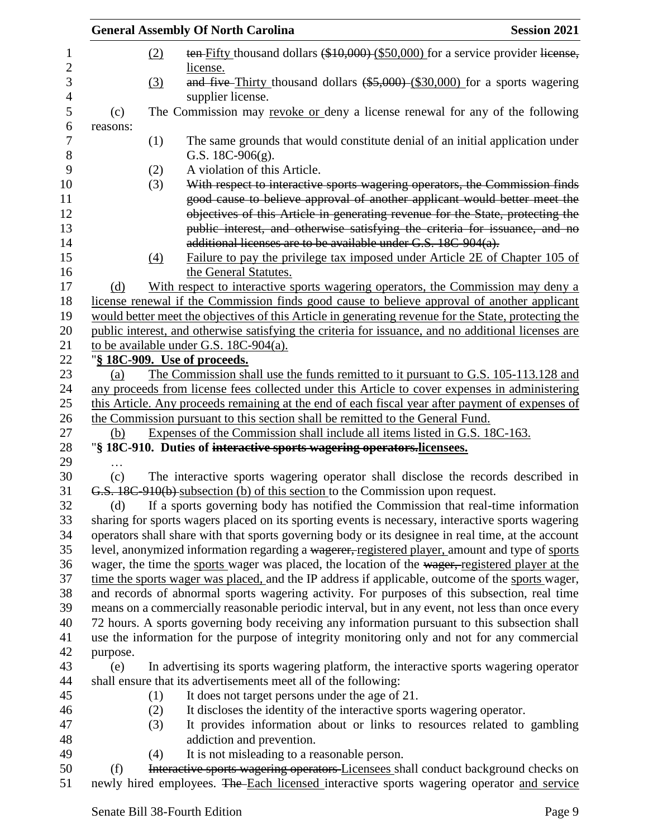|          |     | <b>General Assembly Of North Carolina</b>                                                                                                                | <b>Session 2021</b> |
|----------|-----|----------------------------------------------------------------------------------------------------------------------------------------------------------|---------------------|
|          | (2) | ten-Fifty thousand dollars (\$10,000) (\$50,000) for a service provider license,<br>license.                                                             |                     |
|          | (3) | and five-Thirty thousand dollars (\$5,000)-(\$30,000) for a sports wagering<br>supplier license.                                                         |                     |
| (c)      |     | The Commission may revoke or deny a license renewal for any of the following                                                                             |                     |
| reasons: |     |                                                                                                                                                          |                     |
|          | (1) | The same grounds that would constitute denial of an initial application under<br>G.S. $18C-906(g)$ .                                                     |                     |
|          | (2) | A violation of this Article.                                                                                                                             |                     |
|          | (3) | With respect to interactive sports wagering operators, the Commission finds<br>good cause to believe approval of another applicant would better meet the |                     |
|          |     | objectives of this Article in generating revenue for the State, protecting the                                                                           |                     |
|          |     | public interest, and otherwise satisfying the criteria for issuance, and no                                                                              |                     |
|          |     | additional licenses are to be available under G.S. 18C-904(a).                                                                                           |                     |
|          | (4) | Failure to pay the privilege tax imposed under Article 2E of Chapter 105 of<br>the General Statutes.                                                     |                     |
| (d)      |     | With respect to interactive sports wagering operators, the Commission may deny a                                                                         |                     |
|          |     | license renewal if the Commission finds good cause to believe approval of another applicant                                                              |                     |
|          |     | would better meet the objectives of this Article in generating revenue for the State, protecting the                                                     |                     |
|          |     | public interest, and otherwise satisfying the criteria for issuance, and no additional licenses are                                                      |                     |
|          |     | to be available under G.S. 18C-904(a).                                                                                                                   |                     |
|          |     | " <u>§ 18C-909. Use of proceeds.</u>                                                                                                                     |                     |
| (a)      |     | The Commission shall use the funds remitted to it pursuant to G.S. 105-113.128 and                                                                       |                     |
|          |     | any proceeds from license fees collected under this Article to cover expenses in administering                                                           |                     |
|          |     | this Article. Any proceeds remaining at the end of each fiscal year after payment of expenses of                                                         |                     |
|          |     | the Commission pursuant to this section shall be remitted to the General Fund.                                                                           |                     |
| (b)      |     | Expenses of the Commission shall include all items listed in G.S. 18C-163.                                                                               |                     |
|          |     | "\\$ 18C-910. Duties of interactive sports wagering operators.licensees.                                                                                 |                     |
|          |     |                                                                                                                                                          |                     |
| (c)      |     | The interactive sports wagering operator shall disclose the records described in                                                                         |                     |
|          |     | G.S. 18C-910(b) subsection (b) of this section to the Commission upon request.                                                                           |                     |
| (d)      |     | If a sports governing body has notified the Commission that real-time information                                                                        |                     |
|          |     | sharing for sports wagers placed on its sporting events is necessary, interactive sports wagering                                                        |                     |
|          |     | operators shall share with that sports governing body or its designee in real time, at the account                                                       |                     |
|          |     | level, anonymized information regarding a wagerer, registered player, amount and type of sports                                                          |                     |
|          |     | wager, the time the sports wager was placed, the location of the wager, registered player at the                                                         |                     |
|          |     | time the sports wager was placed, and the IP address if applicable, outcome of the sports wager,                                                         |                     |
|          |     | and records of abnormal sports wagering activity. For purposes of this subsection, real time                                                             |                     |
|          |     | means on a commercially reasonable periodic interval, but in any event, not less than once every                                                         |                     |
|          |     | 72 hours. A sports governing body receiving any information pursuant to this subsection shall                                                            |                     |
|          |     | use the information for the purpose of integrity monitoring only and not for any commercial                                                              |                     |
| purpose. |     |                                                                                                                                                          |                     |
| (e)      |     | In advertising its sports wagering platform, the interactive sports wagering operator                                                                    |                     |
|          |     | shall ensure that its advertisements meet all of the following:                                                                                          |                     |
|          | (1) | It does not target persons under the age of 21.                                                                                                          |                     |
|          | (2) | It discloses the identity of the interactive sports wagering operator.                                                                                   |                     |
|          | (3) | It provides information about or links to resources related to gambling                                                                                  |                     |
|          |     | addiction and prevention.                                                                                                                                |                     |
|          | (4) | It is not misleading to a reasonable person.                                                                                                             |                     |
| (f)      |     | Interactive sports wagering operators Licensees shall conduct background checks on                                                                       |                     |
|          |     | newly hired employees. The Each licensed interactive sports wagering operator and service                                                                |                     |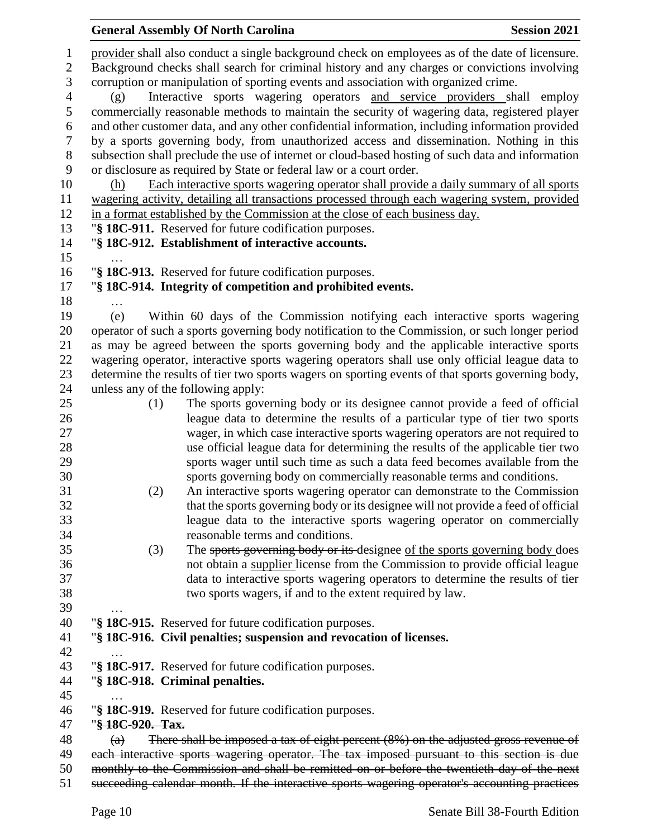|                     |                                                                                                   | <b>General Assembly Of North Carolina</b>                                                                                                                                                       | <b>Session 2021</b> |  |  |  |
|---------------------|---------------------------------------------------------------------------------------------------|-------------------------------------------------------------------------------------------------------------------------------------------------------------------------------------------------|---------------------|--|--|--|
| 1<br>$\overline{c}$ |                                                                                                   | provider shall also conduct a single background check on employees as of the date of licensure.<br>Background checks shall search for criminal history and any charges or convictions involving |                     |  |  |  |
| 3                   | corruption or manipulation of sporting events and association with organized crime.               |                                                                                                                                                                                                 |                     |  |  |  |
| 4                   | Interactive sports wagering operators and service providers shall employ<br>(g)                   |                                                                                                                                                                                                 |                     |  |  |  |
| $\mathfrak s$       | commercially reasonable methods to maintain the security of wagering data, registered player      |                                                                                                                                                                                                 |                     |  |  |  |
| 6                   | and other customer data, and any other confidential information, including information provided   |                                                                                                                                                                                                 |                     |  |  |  |
| 7                   | by a sports governing body, from unauthorized access and dissemination. Nothing in this           |                                                                                                                                                                                                 |                     |  |  |  |
| $8\,$               | subsection shall preclude the use of internet or cloud-based hosting of such data and information |                                                                                                                                                                                                 |                     |  |  |  |
| 9                   |                                                                                                   | or disclosure as required by State or federal law or a court order.                                                                                                                             |                     |  |  |  |
| 10<br>11            | (h)                                                                                               | Each interactive sports wagering operator shall provide a daily summary of all sports<br>wagering activity, detailing all transactions processed through each wagering system, provided         |                     |  |  |  |
| 12                  |                                                                                                   | in a format established by the Commission at the close of each business day.                                                                                                                    |                     |  |  |  |
| 13                  |                                                                                                   | "§ 18C-911. Reserved for future codification purposes.                                                                                                                                          |                     |  |  |  |
| 14                  |                                                                                                   | "§ 18C-912. Establishment of interactive accounts.                                                                                                                                              |                     |  |  |  |
| 15                  |                                                                                                   |                                                                                                                                                                                                 |                     |  |  |  |
| 16                  |                                                                                                   | "§ 18C-913. Reserved for future codification purposes.                                                                                                                                          |                     |  |  |  |
| 17                  |                                                                                                   | "§ 18C-914. Integrity of competition and prohibited events.                                                                                                                                     |                     |  |  |  |
| 18                  | .                                                                                                 |                                                                                                                                                                                                 |                     |  |  |  |
| 19<br>20            | (e)                                                                                               | Within 60 days of the Commission notifying each interactive sports wagering<br>operator of such a sports governing body notification to the Commission, or such longer period                   |                     |  |  |  |
| 21                  |                                                                                                   | as may be agreed between the sports governing body and the applicable interactive sports                                                                                                        |                     |  |  |  |
| 22                  |                                                                                                   | wagering operator, interactive sports wagering operators shall use only official league data to                                                                                                 |                     |  |  |  |
| 23                  |                                                                                                   | determine the results of tier two sports wagers on sporting events of that sports governing body,                                                                                               |                     |  |  |  |
| 24                  |                                                                                                   | unless any of the following apply:                                                                                                                                                              |                     |  |  |  |
| 25                  | (1)                                                                                               | The sports governing body or its designee cannot provide a feed of official                                                                                                                     |                     |  |  |  |
| 26                  |                                                                                                   | league data to determine the results of a particular type of tier two sports                                                                                                                    |                     |  |  |  |
| 27<br>28            |                                                                                                   | wager, in which case interactive sports wagering operators are not required to<br>use official league data for determining the results of the applicable tier two                               |                     |  |  |  |
| 29                  |                                                                                                   | sports wager until such time as such a data feed becomes available from the                                                                                                                     |                     |  |  |  |
| 30                  |                                                                                                   | sports governing body on commercially reasonable terms and conditions.                                                                                                                          |                     |  |  |  |
| 31                  | (2)                                                                                               | An interactive sports wagering operator can demonstrate to the Commission                                                                                                                       |                     |  |  |  |
| 32                  |                                                                                                   | that the sports governing body or its designee will not provide a feed of official                                                                                                              |                     |  |  |  |
| 33                  |                                                                                                   | league data to the interactive sports wagering operator on commercially                                                                                                                         |                     |  |  |  |
| 34                  |                                                                                                   | reasonable terms and conditions.                                                                                                                                                                |                     |  |  |  |
| 35                  | (3)                                                                                               | The sports governing body or its designee of the sports governing body does                                                                                                                     |                     |  |  |  |
| 36<br>37            |                                                                                                   | not obtain a supplier license from the Commission to provide official league<br>data to interactive sports wagering operators to determine the results of tier                                  |                     |  |  |  |
| 38                  |                                                                                                   | two sports wagers, if and to the extent required by law.                                                                                                                                        |                     |  |  |  |
| 39                  |                                                                                                   |                                                                                                                                                                                                 |                     |  |  |  |
| 40                  |                                                                                                   | "§ 18C-915. Reserved for future codification purposes.                                                                                                                                          |                     |  |  |  |
| 41                  |                                                                                                   | "§ 18C-916. Civil penalties; suspension and revocation of licenses.                                                                                                                             |                     |  |  |  |
| 42                  |                                                                                                   |                                                                                                                                                                                                 |                     |  |  |  |
| 43                  |                                                                                                   | "§ 18C-917. Reserved for future codification purposes.                                                                                                                                          |                     |  |  |  |
| 44                  |                                                                                                   | "§ 18C-918. Criminal penalties.                                                                                                                                                                 |                     |  |  |  |
| 45<br>46            |                                                                                                   | "§ 18C-919. Reserved for future codification purposes.                                                                                                                                          |                     |  |  |  |
| 47                  | "§ 18C-920. Tax.                                                                                  |                                                                                                                                                                                                 |                     |  |  |  |
| 48                  | $\left( a\right)$                                                                                 | There shall be imposed a tax of eight percent $(8\%)$ on the adjusted gross revenue of                                                                                                          |                     |  |  |  |
| 49                  |                                                                                                   | each interactive sports wagering operator. The tax imposed pursuant to this section is due                                                                                                      |                     |  |  |  |
| 50                  |                                                                                                   | monthly to the Commission and shall be remitted on or before the twentieth day of the next                                                                                                      |                     |  |  |  |
| 51                  |                                                                                                   | succeeding calendar month. If the interactive sports wagering operator's accounting practices                                                                                                   |                     |  |  |  |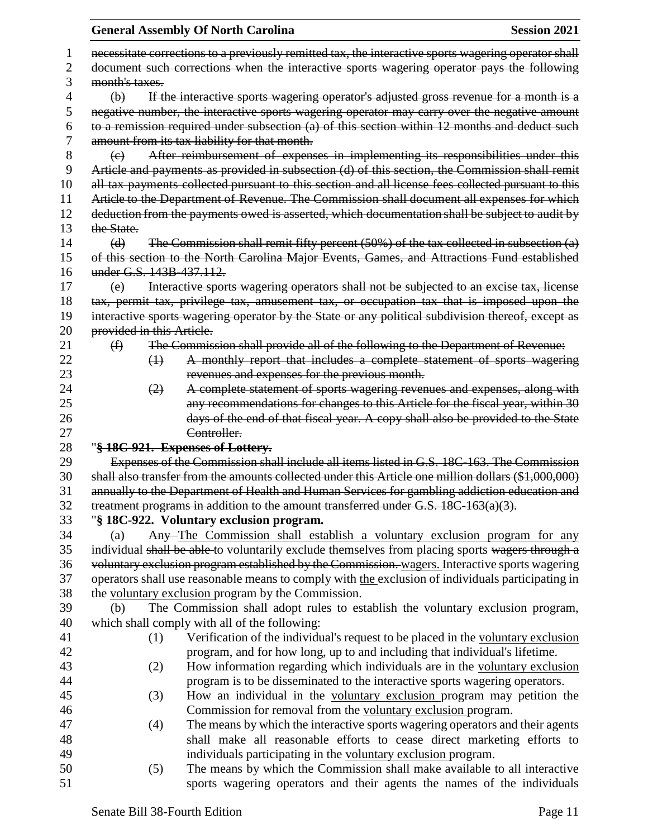|    |                                                                                                                                                                                               |                                                                                            | <b>General Assembly Of North Carolina</b>                                                            | <b>Session 2021</b> |  |
|----|-----------------------------------------------------------------------------------------------------------------------------------------------------------------------------------------------|--------------------------------------------------------------------------------------------|------------------------------------------------------------------------------------------------------|---------------------|--|
| 1  |                                                                                                                                                                                               |                                                                                            | necessitate corrections to a previously remitted tax, the interactive sports wagering operator shall |                     |  |
| 2  |                                                                                                                                                                                               | document such corrections when the interactive sports wagering operator pays the following |                                                                                                      |                     |  |
| 3  | month's taxes.                                                                                                                                                                                |                                                                                            |                                                                                                      |                     |  |
| 4  | If the interactive sports wagering operator's adjusted gross revenue for a month is a<br>$\bigoplus$                                                                                          |                                                                                            |                                                                                                      |                     |  |
| 5  |                                                                                                                                                                                               |                                                                                            |                                                                                                      |                     |  |
| 6  | negative number, the interactive sports wagering operator may carry over the negative amount<br>to a remission required under subsection (a) of this section within 12 months and deduct such |                                                                                            |                                                                                                      |                     |  |
| 7  |                                                                                                                                                                                               |                                                                                            | amount from its tax liability for that month.                                                        |                     |  |
| 8  | (e)                                                                                                                                                                                           |                                                                                            | After reimbursement of expenses in implementing its responsibilities under this                      |                     |  |
| 9  |                                                                                                                                                                                               |                                                                                            | Article and payments as provided in subsection (d) of this section, the Commission shall remit       |                     |  |
| 10 |                                                                                                                                                                                               |                                                                                            | all tax payments collected pursuant to this section and all license fees collected pursuant to this  |                     |  |
| 11 |                                                                                                                                                                                               |                                                                                            | Article to the Department of Revenue. The Commission shall document all expenses for which           |                     |  |
| 12 |                                                                                                                                                                                               |                                                                                            | deduction from the payments owed is asserted, which documentation shall be subject to audit by       |                     |  |
| 13 | the State.                                                                                                                                                                                    |                                                                                            |                                                                                                      |                     |  |
| 14 | (d)                                                                                                                                                                                           |                                                                                            | The Commission shall remit fifty percent $(50%)$ of the tax collected in subsection $(a)$            |                     |  |
| 15 |                                                                                                                                                                                               |                                                                                            | of this section to the North Carolina Major Events, Games, and Attractions Fund established          |                     |  |
| 16 | under G.S. 143B-437.112.                                                                                                                                                                      |                                                                                            |                                                                                                      |                     |  |
| 17 | (e)                                                                                                                                                                                           |                                                                                            | Interactive sports wagering operators shall not be subjected to an excise tax, license               |                     |  |
| 18 |                                                                                                                                                                                               |                                                                                            | tax, permit tax, privilege tax, amusement tax, or occupation tax that is imposed upon the            |                     |  |
| 19 |                                                                                                                                                                                               |                                                                                            | interactive sports wagering operator by the State or any political subdivision thereof, except as    |                     |  |
| 20 | provided in this Article.                                                                                                                                                                     |                                                                                            |                                                                                                      |                     |  |
| 21 | $\bigoplus$                                                                                                                                                                                   |                                                                                            | The Commission shall provide all of the following to the Department of Revenue:                      |                     |  |
| 22 |                                                                                                                                                                                               | $\leftrightarrow$                                                                          | A monthly report that includes a complete statement of sports wagering                               |                     |  |
| 23 |                                                                                                                                                                                               |                                                                                            | revenues and expenses for the previous month.                                                        |                     |  |
| 24 |                                                                                                                                                                                               | (2)                                                                                        | A complete statement of sports wagering revenues and expenses, along with                            |                     |  |
| 25 |                                                                                                                                                                                               |                                                                                            | any recommendations for changes to this Article for the fiscal year, within 30                       |                     |  |
| 26 |                                                                                                                                                                                               |                                                                                            | days of the end of that fiscal year. A copy shall also be provided to the State                      |                     |  |
| 27 |                                                                                                                                                                                               |                                                                                            | Controller.                                                                                          |                     |  |
| 28 |                                                                                                                                                                                               |                                                                                            | "§ 18C-921. Expenses of Lottery.                                                                     |                     |  |
| 29 |                                                                                                                                                                                               |                                                                                            | Expenses of the Commission shall include all items listed in G.S. 18C-163. The Commission            |                     |  |
| 30 |                                                                                                                                                                                               |                                                                                            | shall also transfer from the amounts collected under this Article one million dollars (\$1,000,000)  |                     |  |
| 31 |                                                                                                                                                                                               |                                                                                            | annually to the Department of Health and Human Services for gambling addiction education and         |                     |  |
| 32 |                                                                                                                                                                                               |                                                                                            | treatment programs in addition to the amount transferred under G.S. 18C-163(a)(3).                   |                     |  |
| 33 |                                                                                                                                                                                               |                                                                                            | "§ 18C-922. Voluntary exclusion program.                                                             |                     |  |
| 34 | (a)                                                                                                                                                                                           |                                                                                            | Any-The Commission shall establish a voluntary exclusion program for any                             |                     |  |
| 35 |                                                                                                                                                                                               |                                                                                            | individual shall be able to voluntarily exclude themselves from placing sports wagers through a      |                     |  |
| 36 |                                                                                                                                                                                               |                                                                                            | voluntary exclusion program established by the Commission. wagers. Interactive sports wagering       |                     |  |
| 37 |                                                                                                                                                                                               |                                                                                            | operators shall use reasonable means to comply with the exclusion of individuals participating in    |                     |  |
| 38 |                                                                                                                                                                                               |                                                                                            | the voluntary exclusion program by the Commission.                                                   |                     |  |
| 39 | (b)                                                                                                                                                                                           |                                                                                            | The Commission shall adopt rules to establish the voluntary exclusion program,                       |                     |  |
| 40 |                                                                                                                                                                                               |                                                                                            | which shall comply with all of the following:                                                        |                     |  |
| 41 |                                                                                                                                                                                               | (1)                                                                                        | Verification of the individual's request to be placed in the voluntary exclusion                     |                     |  |
| 42 |                                                                                                                                                                                               |                                                                                            | program, and for how long, up to and including that individual's lifetime.                           |                     |  |
| 43 |                                                                                                                                                                                               | (2)                                                                                        | How information regarding which individuals are in the voluntary exclusion                           |                     |  |
| 44 |                                                                                                                                                                                               |                                                                                            | program is to be disseminated to the interactive sports wagering operators.                          |                     |  |
| 45 |                                                                                                                                                                                               | (3)                                                                                        | How an individual in the voluntary exclusion program may petition the                                |                     |  |
| 46 |                                                                                                                                                                                               |                                                                                            | Commission for removal from the voluntary exclusion program.                                         |                     |  |
| 47 |                                                                                                                                                                                               | (4)                                                                                        | The means by which the interactive sports wagering operators and their agents                        |                     |  |
| 48 |                                                                                                                                                                                               |                                                                                            | shall make all reasonable efforts to cease direct marketing efforts to                               |                     |  |
| 49 |                                                                                                                                                                                               |                                                                                            | individuals participating in the voluntary exclusion program.                                        |                     |  |
| 50 |                                                                                                                                                                                               | (5)                                                                                        | The means by which the Commission shall make available to all interactive                            |                     |  |
| 51 |                                                                                                                                                                                               |                                                                                            | sports wagering operators and their agents the names of the individuals                              |                     |  |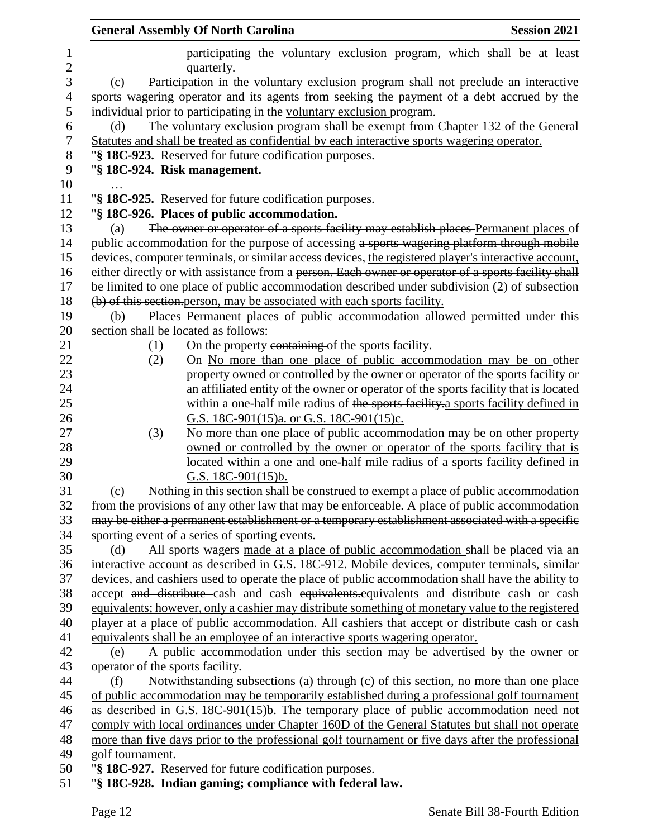|                   | <b>General Assembly Of North Carolina</b><br><b>Session 2021</b>                                       |
|-------------------|--------------------------------------------------------------------------------------------------------|
| 1<br>$\mathbf{2}$ | participating the voluntary exclusion program, which shall be at least<br>quarterly.                   |
| 3                 | Participation in the voluntary exclusion program shall not preclude an interactive<br>(c)              |
| 4                 | sports wagering operator and its agents from seeking the payment of a debt accrued by the              |
| 5                 | individual prior to participating in the voluntary exclusion program.                                  |
| 6                 | The voluntary exclusion program shall be exempt from Chapter 132 of the General<br>(d)                 |
| 7                 | Statutes and shall be treated as confidential by each interactive sports wagering operator.            |
| 8                 | "§ 18C-923. Reserved for future codification purposes.                                                 |
| 9                 | "§ 18C-924. Risk management.                                                                           |
| 10                |                                                                                                        |
| 11                | "§ 18C-925. Reserved for future codification purposes.                                                 |
| 12                | "§ 18C-926. Places of public accommodation.                                                            |
| 13                | The owner or operator of a sports facility may establish places Permanent places of<br>(a)             |
| 14                | public accommodation for the purpose of accessing a sports wagering platform through mobile            |
| 15                | devices, computer terminals, or similar access devices, the registered player's interactive account,   |
| 16                | either directly or with assistance from a person. Each owner or operator of a sports facility shall    |
| 17                | be limited to one place of public accommodation described under subdivision (2) of subsection          |
| 18                | (b) of this section person, may be associated with each sports facility.                               |
| 19                | Places Permanent places of public accommodation allowed permitted under this<br>(b)                    |
| 20                | section shall be located as follows:                                                                   |
| 21                | On the property containing of the sports facility.<br>(1)                                              |
| 22                | On-No more than one place of public accommodation may be on other<br>(2)                               |
| 23                | property owned or controlled by the owner or operator of the sports facility or                        |
| 24                | an affiliated entity of the owner or operator of the sports facility that is located                   |
| 25                | within a one-half mile radius of the sports facility a sports facility defined in                      |
| 26                | G.S. 18C-901(15)a. or G.S. 18C-901(15)c.                                                               |
| 27                | No more than one place of public accommodation may be on other property<br>(3)                         |
| 28                | owned or controlled by the owner or operator of the sports facility that is                            |
| 29<br>30          | located within a one and one-half mile radius of a sports facility defined in<br>G.S. $18C-901(15)b$ . |
| 31                | Nothing in this section shall be construed to exempt a place of public accommodation<br>(c)            |
| 32                | from the provisions of any other law that may be enforceable. A place of public accommodation          |
| 33                | may be either a permanent establishment or a temporary establishment associated with a specific        |
| 34                | sporting event of a series of sporting events.                                                         |
| 35                | All sports wagers made at a place of public accommodation shall be placed via an<br>(d)                |
| 36                | interactive account as described in G.S. 18C-912. Mobile devices, computer terminals, similar          |
| 37                | devices, and cashiers used to operate the place of public accommodation shall have the ability to      |
| 38                | accept and distribute cash and cash equivalents equivalents and distribute cash or cash                |
| 39                | equivalents; however, only a cashier may distribute something of monetary value to the registered      |
| 40                | player at a place of public accommodation. All cashiers that accept or distribute cash or cash         |
| 41                | equivalents shall be an employee of an interactive sports wagering operator.                           |
| 42                | A public accommodation under this section may be advertised by the owner or<br>(e)                     |
| 43                | operator of the sports facility.                                                                       |
| 44                | Notwithstanding subsections (a) through (c) of this section, no more than one place<br>(f)             |
| 45                | of public accommodation may be temporarily established during a professional golf tournament           |
| 46                | as described in G.S. 18C-901(15)b. The temporary place of public accommodation need not                |
| 47                | comply with local ordinances under Chapter 160D of the General Statutes but shall not operate          |
| 48                | more than five days prior to the professional golf tournament or five days after the professional      |
| 49                | golf tournament.                                                                                       |
| 50                | "§ 18C-927. Reserved for future codification purposes.                                                 |
| 51                | "§ 18C-928. Indian gaming; compliance with federal law.                                                |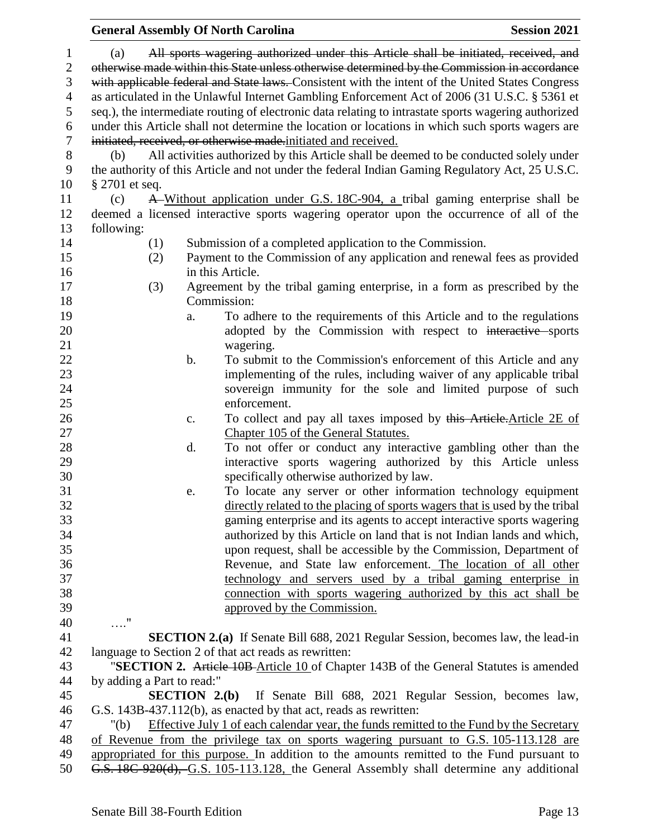|                |                                                                                                  |     |                | <b>General Assembly Of North Carolina</b>                                                            | <b>Session 2021</b> |  |
|----------------|--------------------------------------------------------------------------------------------------|-----|----------------|------------------------------------------------------------------------------------------------------|---------------------|--|
| $\mathbf{1}$   | (a)                                                                                              |     |                | All sports wagering authorized under this Article shall be initiated, received, and                  |                     |  |
| $\mathbf{2}$   | otherwise made within this State unless otherwise determined by the Commission in accordance     |     |                |                                                                                                      |                     |  |
| 3              | with applicable federal and State laws. Consistent with the intent of the United States Congress |     |                |                                                                                                      |                     |  |
| $\overline{4}$ |                                                                                                  |     |                | as articulated in the Unlawful Internet Gambling Enforcement Act of 2006 (31 U.S.C. § 5361 et        |                     |  |
|                |                                                                                                  |     |                |                                                                                                      |                     |  |
| 5              |                                                                                                  |     |                | seq.), the intermediate routing of electronic data relating to intrastate sports wagering authorized |                     |  |
| 6              |                                                                                                  |     |                | under this Article shall not determine the location or locations in which such sports wagers are     |                     |  |
| $\tau$         |                                                                                                  |     |                | initiated, received, or otherwise made.initiated and received.                                       |                     |  |
| $8\,$          | (b)                                                                                              |     |                | All activities authorized by this Article shall be deemed to be conducted solely under               |                     |  |
| 9              |                                                                                                  |     |                | the authority of this Article and not under the federal Indian Gaming Regulatory Act, 25 U.S.C.      |                     |  |
| 10             | $\S 2701$ et seq.                                                                                |     |                |                                                                                                      |                     |  |
| 11             | (c)                                                                                              |     |                | A Without application under G.S. 18C-904, a tribal gaming enterprise shall be                        |                     |  |
| 12             |                                                                                                  |     |                | deemed a licensed interactive sports wagering operator upon the occurrence of all of the             |                     |  |
| 13             | following:                                                                                       |     |                |                                                                                                      |                     |  |
| 14             |                                                                                                  | (1) |                | Submission of a completed application to the Commission.                                             |                     |  |
| 15             |                                                                                                  | (2) |                | Payment to the Commission of any application and renewal fees as provided                            |                     |  |
| 16             |                                                                                                  |     |                | in this Article.                                                                                     |                     |  |
| 17             |                                                                                                  | (3) |                | Agreement by the tribal gaming enterprise, in a form as prescribed by the                            |                     |  |
| 18             |                                                                                                  |     |                | Commission:                                                                                          |                     |  |
| 19             |                                                                                                  |     | a.             | To adhere to the requirements of this Article and to the regulations                                 |                     |  |
| 20             |                                                                                                  |     |                | adopted by the Commission with respect to interactive sports                                         |                     |  |
| 21             |                                                                                                  |     |                | wagering.                                                                                            |                     |  |
| 22             |                                                                                                  |     | b.             | To submit to the Commission's enforcement of this Article and any                                    |                     |  |
| 23             |                                                                                                  |     |                | implementing of the rules, including waiver of any applicable tribal                                 |                     |  |
| 24             |                                                                                                  |     |                | sovereign immunity for the sole and limited purpose of such                                          |                     |  |
| 25             |                                                                                                  |     |                | enforcement.                                                                                         |                     |  |
| 26             |                                                                                                  |     | $\mathbf{c}$ . | To collect and pay all taxes imposed by this Article. Article 2E of                                  |                     |  |
| 27             |                                                                                                  |     |                | Chapter 105 of the General Statutes.                                                                 |                     |  |
| 28             |                                                                                                  |     | d.             | To not offer or conduct any interactive gambling other than the                                      |                     |  |
| 29             |                                                                                                  |     |                | interactive sports wagering authorized by this Article unless                                        |                     |  |
| 30             |                                                                                                  |     |                | specifically otherwise authorized by law.                                                            |                     |  |
| 31             |                                                                                                  |     | e.             | To locate any server or other information technology equipment                                       |                     |  |
| 32             |                                                                                                  |     |                | directly related to the placing of sports wagers that is used by the tribal                          |                     |  |
| 33             |                                                                                                  |     |                | gaming enterprise and its agents to accept interactive sports wagering                               |                     |  |
| 34             |                                                                                                  |     |                | authorized by this Article on land that is not Indian lands and which,                               |                     |  |
| 35             |                                                                                                  |     |                | upon request, shall be accessible by the Commission, Department of                                   |                     |  |
| 36             |                                                                                                  |     |                | Revenue, and State law enforcement. The location of all other                                        |                     |  |
| 37             |                                                                                                  |     |                | technology and servers used by a tribal gaming enterprise in                                         |                     |  |
| 38             |                                                                                                  |     |                | connection with sports wagering authorized by this act shall be                                      |                     |  |
| 39             |                                                                                                  |     |                | approved by the Commission.                                                                          |                     |  |
| 40             | $\ldots$ "                                                                                       |     |                |                                                                                                      |                     |  |
| 41             |                                                                                                  |     |                | <b>SECTION 2.(a)</b> If Senate Bill 688, 2021 Regular Session, becomes law, the lead-in              |                     |  |
| 42             |                                                                                                  |     |                | language to Section 2 of that act reads as rewritten:                                                |                     |  |
| 43             |                                                                                                  |     |                | "SECTION 2. Article 10B-Article 10 of Chapter 143B of the General Statutes is amended                |                     |  |
| 44             | by adding a Part to read:"                                                                       |     |                |                                                                                                      |                     |  |
| 45             |                                                                                                  |     |                | <b>SECTION 2.(b)</b> If Senate Bill 688, 2021 Regular Session, becomes law,                          |                     |  |
| 46             |                                                                                                  |     |                | G.S. 143B-437.112(b), as enacted by that act, reads as rewritten:                                    |                     |  |
| 47             | " $(b)$                                                                                          |     |                | Effective July 1 of each calendar year, the funds remitted to the Fund by the Secretary              |                     |  |
| 48             |                                                                                                  |     |                | of Revenue from the privilege tax on sports wagering pursuant to G.S. 105-113.128 are                |                     |  |
| 49             |                                                                                                  |     |                | appropriated for this purpose. In addition to the amounts remitted to the Fund pursuant to           |                     |  |
| 50             |                                                                                                  |     |                | G.S. 18C-920(d), G.S. 105-113.128, the General Assembly shall determine any additional               |                     |  |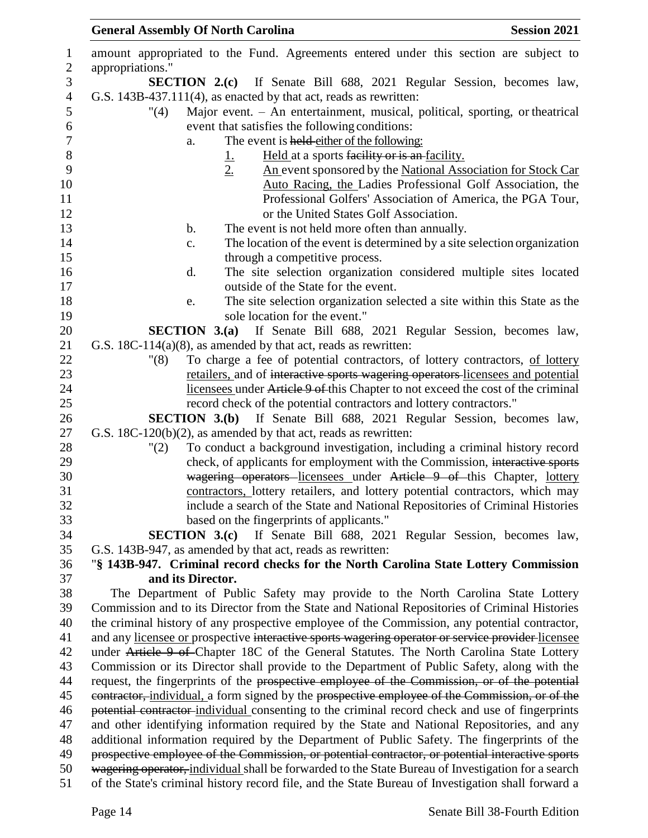| <b>General Assembly Of North Carolina</b> |                                                                                       | <b>Session 2021</b> |
|-------------------------------------------|---------------------------------------------------------------------------------------|---------------------|
|                                           | amount appropriated to the Fund. Agreements entered under this section are subject to |                     |
| appropriations."                          |                                                                                       |                     |
|                                           | <b>SECTION 2.(c)</b> If Senate Bill 688, 2021 Regular Session, becomes law,           |                     |
|                                           | G.S. $143B-437.111(4)$ , as enacted by that act, reads as rewritten:                  |                     |
| "(4)                                      | Major event. - An entertainment, musical, political, sporting, or theatrical          |                     |
|                                           | event that satisfies the following conditions:                                        |                     |
| a.                                        | The event is held either of the following:                                            |                     |
|                                           | Held at a sports facility or is an facility.                                          |                     |
|                                           | 2.<br>An event sponsored by the National Association for Stock Car                    |                     |
|                                           | Auto Racing, the Ladies Professional Golf Association, the                            |                     |
|                                           | Professional Golfers' Association of America, the PGA Tour,                           |                     |
|                                           | or the United States Golf Association.                                                |                     |
| b.                                        | The event is not held more often than annually.                                       |                     |
| c.                                        | The location of the event is determined by a site selection organization              |                     |

 e. The site selection organization selected a site within this State as the 19 sole location for the event."

 **SECTION 3.(a)** If Senate Bill 688, 2021 Regular Session, becomes law, G.S. 18C-114(a)(8), as amended by that act, reads as rewritten:

 "(8) To charge a fee of potential contractors, of lottery contractors, of lottery retailers, and of interactive sports wagering operators licensees and potential licensees under Article 9 of this Chapter to not exceed the cost of the criminal record check of the potential contractors and lottery contractors."

 **SECTION 3.(b)** If Senate Bill 688, 2021 Regular Session, becomes law, G.S. 18C-120(b)(2), as amended by that act, reads as rewritten:

 "(2) To conduct a background investigation, including a criminal history record check, of applicants for employment with the Commission, interactive sports **wagering operators** licensees under Article 9 of this Chapter, lottery contractors, lottery retailers, and lottery potential contractors, which may include a search of the State and National Repositories of Criminal Histories based on the fingerprints of applicants."

 **SECTION 3.(c)** If Senate Bill 688, 2021 Regular Session, becomes law, G.S. 143B-947, as amended by that act, reads as rewritten:

## "**§ 143B-947. Criminal record checks for the North Carolina State Lottery Commission and its Director.**

 The Department of Public Safety may provide to the North Carolina State Lottery Commission and to its Director from the State and National Repositories of Criminal Histories the criminal history of any prospective employee of the Commission, any potential contractor, 41 and any licensee or prospective interactive sports wagering operator or service provider licensee 42 under Article 9 of Chapter 18C of the General Statutes. The North Carolina State Lottery Commission or its Director shall provide to the Department of Public Safety, along with the 44 request, the fingerprints of the prospective employee of the Commission, or of the potential 45 eontractor, individual, a form signed by the prospective employee of the Commission, or of the potential contractor individual consenting to the criminal record check and use of fingerprints and other identifying information required by the State and National Repositories, and any additional information required by the Department of Public Safety. The fingerprints of the 49 prospective employee of the Commission, or potential contractor, or potential interactive sports wagering operator, individual shall be forwarded to the State Bureau of Investigation for a search of the State's criminal history record file, and the State Bureau of Investigation shall forward a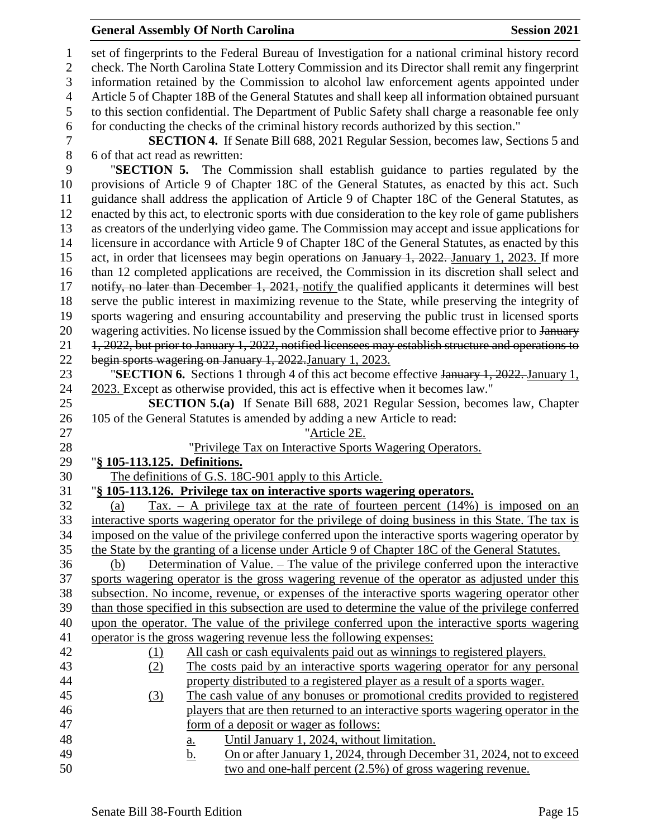#### **General Assembly Of North Carolina Session 2021**

 set of fingerprints to the Federal Bureau of Investigation for a national criminal history record check. The North Carolina State Lottery Commission and its Director shall remit any fingerprint information retained by the Commission to alcohol law enforcement agents appointed under Article 5 of Chapter 18B of the General Statutes and shall keep all information obtained pursuant to this section confidential. The Department of Public Safety shall charge a reasonable fee only for conducting the checks of the criminal history records authorized by this section." **SECTION 4.** If Senate Bill 688, 2021 Regular Session, becomes law, Sections 5 and 6 of that act read as rewritten: "**SECTION 5.** The Commission shall establish guidance to parties regulated by the provisions of Article 9 of Chapter 18C of the General Statutes, as enacted by this act. Such guidance shall address the application of Article 9 of Chapter 18C of the General Statutes, as enacted by this act, to electronic sports with due consideration to the key role of game publishers as creators of the underlying video game. The Commission may accept and issue applications for licensure in accordance with Article 9 of Chapter 18C of the General Statutes, as enacted by this 15 act, in order that licensees may begin operations on January 1, 2022. January 1, 2023. If more than 12 completed applications are received, the Commission in its discretion shall select and 17 notify, no later than December 1, 2021, notify the qualified applicants it determines will best serve the public interest in maximizing revenue to the State, while preserving the integrity of sports wagering and ensuring accountability and preserving the public trust in licensed sports 20 wagering activities. No license issued by the Commission shall become effective prior to January 21 1, 2022, but prior to January 1, 2022, notified licensees may establish structure and operations to begin sports wagering on January 1, 2022.January 1, 2023. "**SECTION 6.** Sections 1 through 4 of this act become effective January 1, 2022. January 1, 2023. Except as otherwise provided, this act is effective when it becomes law." **SECTION 5.(a)** If Senate Bill 688, 2021 Regular Session, becomes law, Chapter 105 of the General Statutes is amended by adding a new Article to read: "Article 2E. "Privilege Tax on Interactive Sports Wagering Operators. "**§ 105-113.125. Definitions.** The definitions of G.S. 18C-901 apply to this Article. "**§ 105-113.126. Privilege tax on interactive sports wagering operators.** 32 (a) Tax. – A privilege tax at the rate of fourteen percent  $(14%)$  is imposed on an interactive sports wagering operator for the privilege of doing business in this State. The tax is imposed on the value of the privilege conferred upon the interactive sports wagering operator by the State by the granting of a license under Article 9 of Chapter 18C of the General Statutes. (b) Determination of Value. – The value of the privilege conferred upon the interactive sports wagering operator is the gross wagering revenue of the operator as adjusted under this subsection. No income, revenue, or expenses of the interactive sports wagering operator other than those specified in this subsection are used to determine the value of the privilege conferred upon the operator. The value of the privilege conferred upon the interactive sports wagering operator is the gross wagering revenue less the following expenses: (1) All cash or cash equivalents paid out as winnings to registered players. (2) The costs paid by an interactive sports wagering operator for any personal property distributed to a registered player as a result of a sports wager. (3) The cash value of any bonuses or promotional credits provided to registered players that are then returned to an interactive sports wagering operator in the form of a deposit or wager as follows: a. Until January 1, 2024, without limitation. b. On or after January 1, 2024, through December 31, 2024, not to exceed two and one-half percent (2.5%) of gross wagering revenue.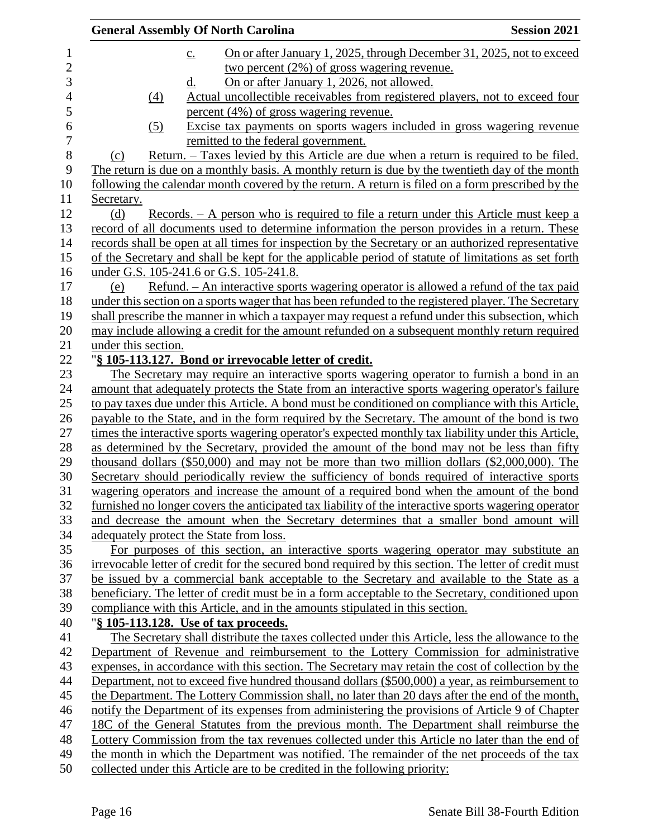| <b>General Assembly Of North Carolina</b><br><b>Session 2021</b>                                      |
|-------------------------------------------------------------------------------------------------------|
| On or after January 1, 2025, through December 31, 2025, not to exceed<br>$\underline{c}$ .            |
| two percent $(2\%)$ of gross wagering revenue.                                                        |
| On or after January 1, 2026, not allowed.<br><u>d.</u>                                                |
| Actual uncollectible receivables from registered players, not to exceed four<br>(4)                   |
| percent (4%) of gross wagering revenue.                                                               |
| Excise tax payments on sports wagers included in gross wagering revenue<br>$\left( 5\right)$          |
| remitted to the federal government.                                                                   |
| Return. – Taxes levied by this Article are due when a return is required to be filed.<br>(c)          |
| The return is due on a monthly basis. A monthly return is due by the twentieth day of the month       |
| following the calendar month covered by the return. A return is filed on a form prescribed by the     |
| Secretary.                                                                                            |
| <u>Records. – A person who is required to file a return under this Article must keep a</u><br>(d)     |
| record of all documents used to determine information the person provides in a return. These          |
| records shall be open at all times for inspection by the Secretary or an authorized representative    |
| of the Secretary and shall be kept for the applicable period of statute of limitations as set forth   |
| under G.S. 105-241.6 or G.S. 105-241.8.                                                               |
| Refund. - An interactive sports wagering operator is allowed a refund of the tax paid<br>(e)          |
| under this section on a sports wager that has been refunded to the registered player. The Secretary   |
| shall prescribe the manner in which a taxpayer may request a refund under this subsection, which      |
| may include allowing a credit for the amount refunded on a subsequent monthly return required         |
| under this section.                                                                                   |
| "§ 105-113.127. Bond or irrevocable letter of credit.                                                 |
| The Secretary may require an interactive sports wagering operator to furnish a bond in an             |
| amount that adequately protects the State from an interactive sports wagering operator's failure      |
| to pay taxes due under this Article. A bond must be conditioned on compliance with this Article,      |
| payable to the State, and in the form required by the Secretary. The amount of the bond is two        |
| times the interactive sports wagering operator's expected monthly tax liability under this Article,   |
| as determined by the Secretary, provided the amount of the bond may not be less than fifty            |
| thousand dollars (\$50,000) and may not be more than two million dollars (\$2,000,000). The           |
| Secretary should periodically review the sufficiency of bonds required of interactive sports          |
| wagering operators and increase the amount of a required bond when the amount of the bond             |
| furnished no longer covers the anticipated tax liability of the interactive sports wagering operator  |
| and decrease the amount when the Secretary determines that a smaller bond amount will                 |
| adequately protect the State from loss.                                                               |
| For purposes of this section, an interactive sports wagering operator may substitute an               |
| irrevocable letter of credit for the secured bond required by this section. The letter of credit must |
| be issued by a commercial bank acceptable to the Secretary and available to the State as a            |
| beneficiary. The letter of credit must be in a form acceptable to the Secretary, conditioned upon     |
| compliance with this Article, and in the amounts stipulated in this section.                          |
| "§ 105-113.128. Use of tax proceeds.                                                                  |
| The Secretary shall distribute the taxes collected under this Article, less the allowance to the      |
| Department of Revenue and reimbursement to the Lottery Commission for administrative                  |
| expenses, in accordance with this section. The Secretary may retain the cost of collection by the     |
| Department, not to exceed five hundred thousand dollars (\$500,000) a year, as reimbursement to       |
| the Department. The Lottery Commission shall, no later than 20 days after the end of the month,       |
| notify the Department of its expenses from administering the provisions of Article 9 of Chapter       |
| 18C of the General Statutes from the previous month. The Department shall reimburse the               |
| Lottery Commission from the tax revenues collected under this Article no later than the end of        |
| the month in which the Department was notified. The remainder of the net proceeds of the tax          |
| collected under this Article are to be credited in the following priority:                            |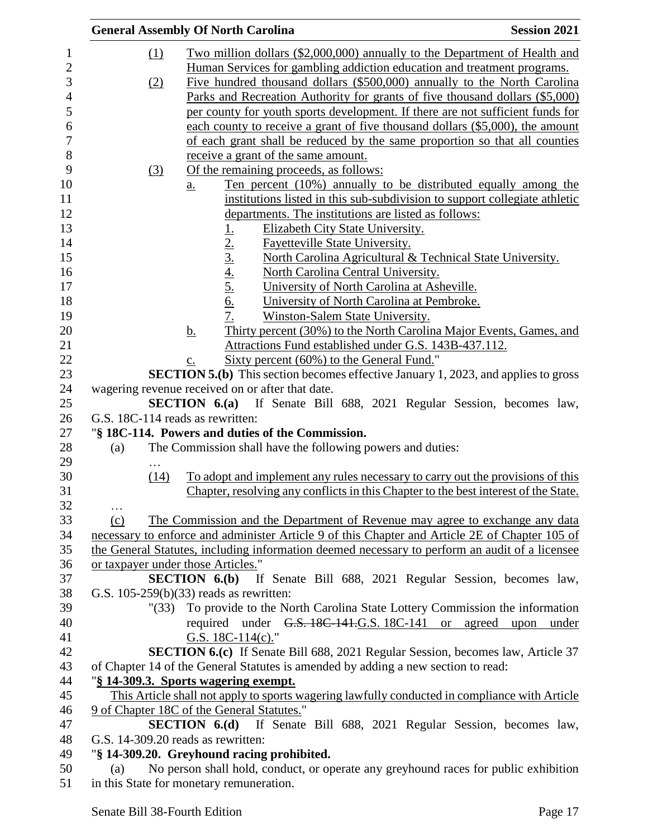|          | <b>General Assembly Of North Carolina</b>                                                                              | <b>Session 2021</b> |
|----------|------------------------------------------------------------------------------------------------------------------------|---------------------|
| $\Omega$ | Two million dollars (\$2,000,000) annually to the Department of Health and                                             |                     |
|          | Human Services for gambling addiction education and treatment programs.                                                |                     |
| (2)      | Five hundred thousand dollars (\$500,000) annually to the North Carolina                                               |                     |
|          | Parks and Recreation Authority for grants of five thousand dollars (\$5,000)                                           |                     |
|          | per county for youth sports development. If there are not sufficient funds for                                         |                     |
|          |                                                                                                                        |                     |
|          | each county to receive a grant of five thousand dollars (\$5,000), the amount                                          |                     |
|          | of each grant shall be reduced by the same proportion so that all counties                                             |                     |
|          | receive a grant of the same amount.                                                                                    |                     |
| (3)      | Of the remaining proceeds, as follows:                                                                                 |                     |
|          | Ten percent (10%) annually to be distributed equally among the<br><u>a.</u>                                            |                     |
|          | institutions listed in this sub-subdivision to support collegiate athletic                                             |                     |
|          | departments. The institutions are listed as follows:                                                                   |                     |
|          | Elizabeth City State University.                                                                                       |                     |
|          | <b>Fayetteville State University.</b>                                                                                  |                     |
|          | North Carolina Agricultural & Technical State University.                                                              |                     |
|          | North Carolina Central University.                                                                                     |                     |
|          | $\frac{1}{2}$ .<br>$\frac{2}{3}$ .<br>$\frac{4}{5}$ .<br>$\frac{5}{6}$ .<br>University of North Carolina at Asheville. |                     |
|          | University of North Carolina at Pembroke.                                                                              |                     |
|          | 7.<br>Winston-Salem State University.                                                                                  |                     |
|          | Thirty percent (30%) to the North Carolina Major Events, Games, and<br><u>b.</u>                                       |                     |
|          | Attractions Fund established under G.S. 143B-437.112.                                                                  |                     |
|          | Sixty percent (60%) to the General Fund."<br>c.                                                                        |                     |
|          | <b>SECTION 5.(b)</b> This section becomes effective January 1, 2023, and applies to gross                              |                     |
|          | wagering revenue received on or after that date.                                                                       |                     |
|          | SECTION 6.(a) If Senate Bill 688, 2021 Regular Session, becomes law,                                                   |                     |
|          | G.S. 18C-114 reads as rewritten:                                                                                       |                     |
|          | "§ 18C-114. Powers and duties of the Commission.                                                                       |                     |
| (a)      | The Commission shall have the following powers and duties:                                                             |                     |
| .        |                                                                                                                        |                     |
| (14)     | To adopt and implement any rules necessary to carry out the provisions of this                                         |                     |
|          | Chapter, resolving any conflicts in this Chapter to the best interest of the State.                                    |                     |
| .        |                                                                                                                        |                     |
| (c)      | The Commission and the Department of Revenue may agree to exchange any data                                            |                     |
|          | necessary to enforce and administer Article 9 of this Chapter and Article 2E of Chapter 105 of                         |                     |
|          | the General Statutes, including information deemed necessary to perform an audit of a licensee                         |                     |
|          | or taxpayer under those Articles."                                                                                     |                     |
|          | <b>SECTION 6.(b)</b> If Senate Bill 688, 2021 Regular Session, becomes law,                                            |                     |
|          | G.S. $105-259(b)(33)$ reads as rewritten:                                                                              |                     |
| " (33)   | To provide to the North Carolina State Lottery Commission the information                                              |                     |
|          | required under G.S. 18C-141.G.S. 18C-141 or agreed upon under                                                          |                     |
|          | G.S. $18C-114(c)$ ."                                                                                                   |                     |
|          | <b>SECTION 6.(c)</b> If Senate Bill 688, 2021 Regular Session, becomes law, Article 37                                 |                     |
|          | of Chapter 14 of the General Statutes is amended by adding a new section to read:                                      |                     |
|          | "§ 14-309.3. Sports wagering exempt.                                                                                   |                     |
|          | This Article shall not apply to sports wagering lawfully conducted in compliance with Article                          |                     |
|          | 9 of Chapter 18C of the General Statutes."                                                                             |                     |
|          | <b>SECTION 6.(d)</b> If Senate Bill 688, 2021 Regular Session, becomes law,                                            |                     |
|          | G.S. 14-309.20 reads as rewritten:                                                                                     |                     |
|          | "§ 14-309.20. Greyhound racing prohibited.                                                                             |                     |
| (a)      | No person shall hold, conduct, or operate any greyhound races for public exhibition                                    |                     |

in this State for monetary remuneration.